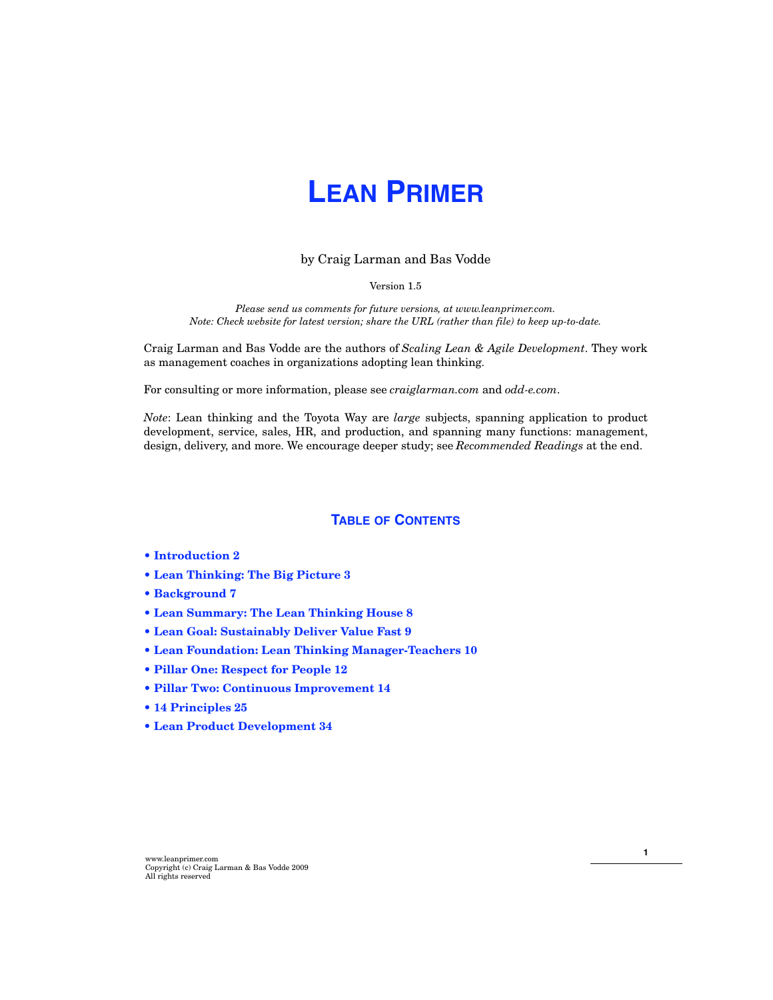# **LEAN PRIMER**

# by Craig Larman and Bas Vodde

# Version 1.5

*Please send us comments for future versions, at www.leanprimer.com. Note: Check website for latest version; share the URL (rather than file) to keep up-to-date.*

Craig Larman and Bas Vodde are the authors of *Scaling Lean & Agile Development*. They work as management coaches in organizations adopting lean thinking.

For consulting or more information, please see *craiglarman.com* and *odd-e.com*.

*Note*: Lean thinking and the Toyota Way are *large* subjects, spanning application to product development, service, sales, HR, and production, and spanning many functions: management, design, delivery, and more. We encourage deeper study; see *Recommended Readings* at the end.

# **TABLE OF CONTENTS**

- **Introduction 2**
- **Lean Thinking: The Big Picture 3**
- **Background 7**
- **Lean Summary: The Lean Thinking House 8**
- **Lean Goal: Sustainably Deliver Value Fast 9**
- **Lean Foundation: Lean Thinking Manager-Teachers 10**
- **Pillar One: Respect for People 12**
- **Pillar Two: Continuous Improvement 14**
- **14 Principles 25**
- **Lean Product Development 34**

**1**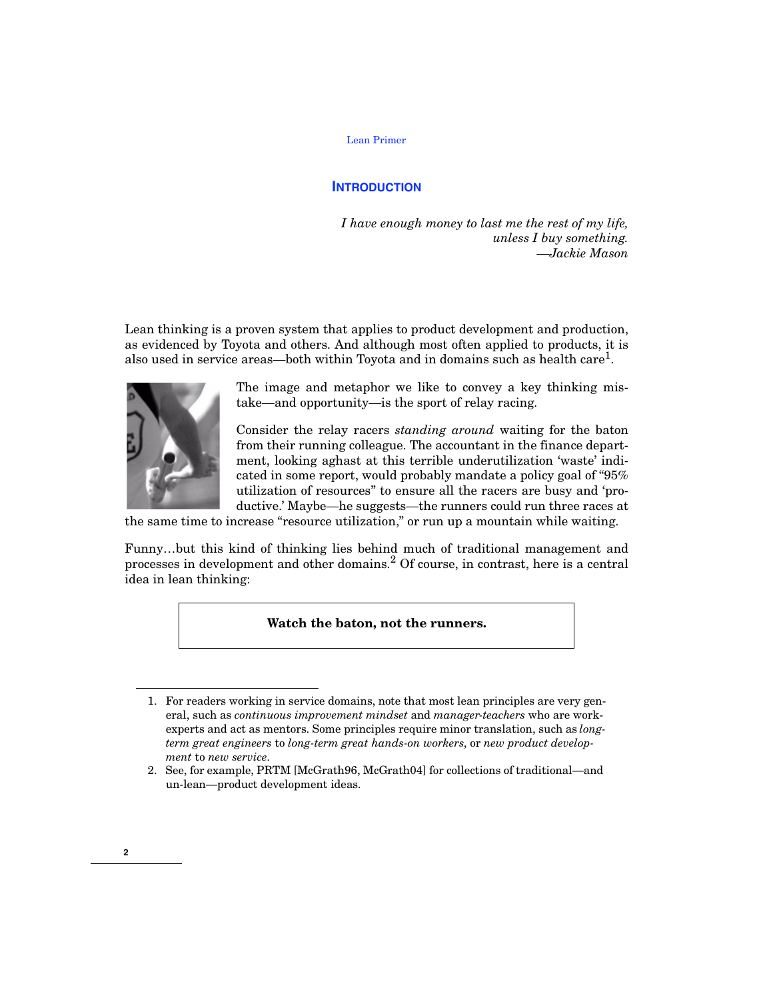# **INTRODUCTION**

*I have enough money to last me the rest of my life, unless I buy something. —Jackie Mason*

Lean thinking is a proven system that applies to product development and production, as evidenced by Toyota and others. And although most often applied to products, it is also used in service areas—both within Toyota and in domains such as health care1.



The image and metaphor we like to convey a key thinking mistake—and opportunity—is the sport of relay racing.

Consider the relay racers *standing around* waiting for the baton from their running colleague. The accountant in the finance department, looking aghast at this terrible underutilization 'waste' indicated in some report, would probably mandate a policy goal of "95% utilization of resources" to ensure all the racers are busy and 'productive.' Maybe—he suggests—the runners could run three races at

the same time to increase "resource utilization," or run up a mountain while waiting.

Funny…but this kind of thinking lies behind much of traditional management and processes in development and other domains.2 Of course, in contrast, here is a central idea in lean thinking:

# **Watch the baton, not the runners.**

<sup>1.</sup> For readers working in service domains, note that most lean principles are very general, such as *continuous improvement mindset* and *manager-teachers* who are workexperts and act as mentors. Some principles require minor translation, such as *longterm great engineers* to *long-term great hands-on workers*, or *new product development* to *new service*.

<sup>2.</sup> See, for example, PRTM [McGrath96, McGrath04] for collections of traditional—and un-lean—product development ideas.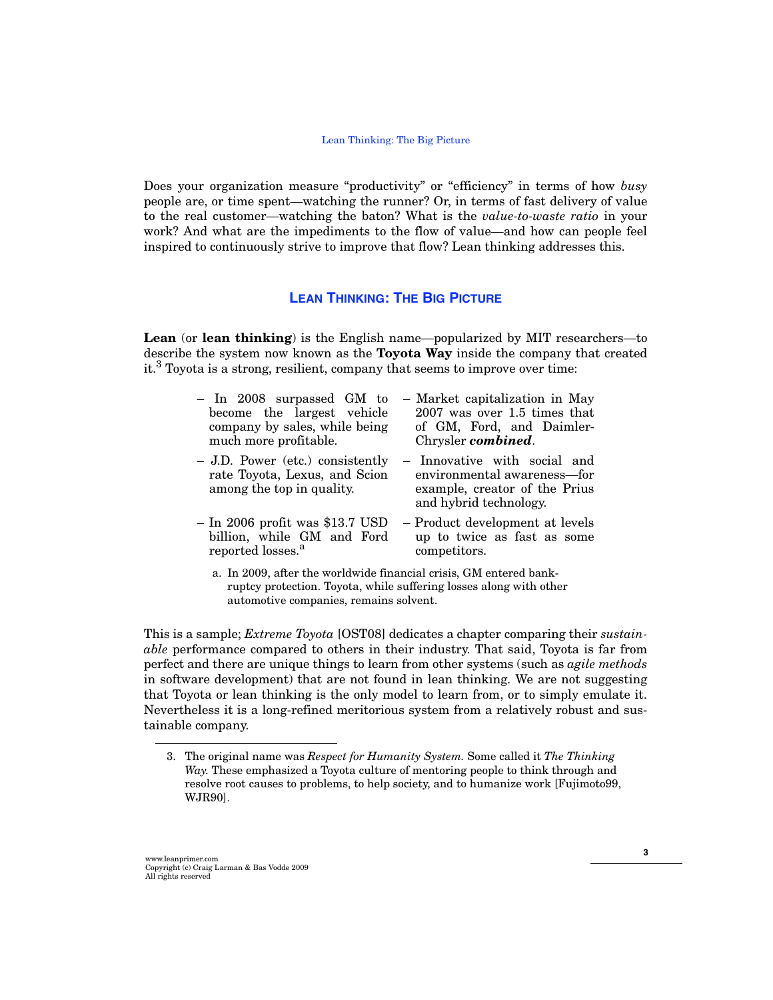### Lean Thinking: The Big Picture

Does your organization measure "productivity" or "efficiency" in terms of how *busy* people are, or time spent—watching the runner? Or, in terms of fast delivery of value to the real customer—watching the baton? What is the *value-to-waste ratio* in your work? And what are the impediments to the flow of value—and how can people feel inspired to continuously strive to improve that flow? Lean thinking addresses this.

# **LEAN THINKING: THE BIG PICTURE**

**Lean** (or **lean thinking**) is the English name—popularized by MIT researchers—to describe the system now known as the **Toyota Way** inside the company that created it.<sup>3</sup> Toyota is a strong, resilient, company that seems to improve over time:

| $-$ In 2008 surpassed GM to                                                                                                              | - Market capitalization in May                                                                                         |
|------------------------------------------------------------------------------------------------------------------------------------------|------------------------------------------------------------------------------------------------------------------------|
| become the largest vehicle                                                                                                               | 2007 was over 1.5 times that                                                                                           |
| company by sales, while being                                                                                                            | of GM, Ford, and Daimler-                                                                                              |
| much more profitable.                                                                                                                    | Chrysler combined.                                                                                                     |
| - J.D. Power (etc.) consistently<br>rate Toyota, Lexus, and Scion<br>among the top in quality.                                           | - Innovative with social and<br>environmental awareness—for<br>example, creator of the Prius<br>and hybrid technology. |
| $-$ In 2006 profit was \$13.7 USD                                                                                                        | - Product development at levels                                                                                        |
| billion, while GM and Ford                                                                                                               | up to twice as fast as some                                                                                            |
| reported losses. <sup>a</sup>                                                                                                            | competitors.                                                                                                           |
| a. In 2009, after the worldwide financial crisis, GM entered bank-<br>ruptcy protection. Toyota, while suffering losses along with other |                                                                                                                        |

automotive companies, remains solvent.

This is a sample; *Extreme Toyota* [OST08] dedicates a chapter comparing their *sustainable* performance compared to others in their industry. That said, Toyota is far from perfect and there are unique things to learn from other systems (such as *agile methods* in software development) that are not found in lean thinking. We are not suggesting that Toyota or lean thinking is the only model to learn from, or to simply emulate it. Nevertheless it is a long-refined meritorious system from a relatively robust and sustainable company.

<sup>3.</sup> The original name was *Respect for Humanity System.* Some called it *The Thinking Way*. These emphasized a Toyota culture of mentoring people to think through and resolve root causes to problems, to help society, and to humanize work [Fujimoto99, WJR90].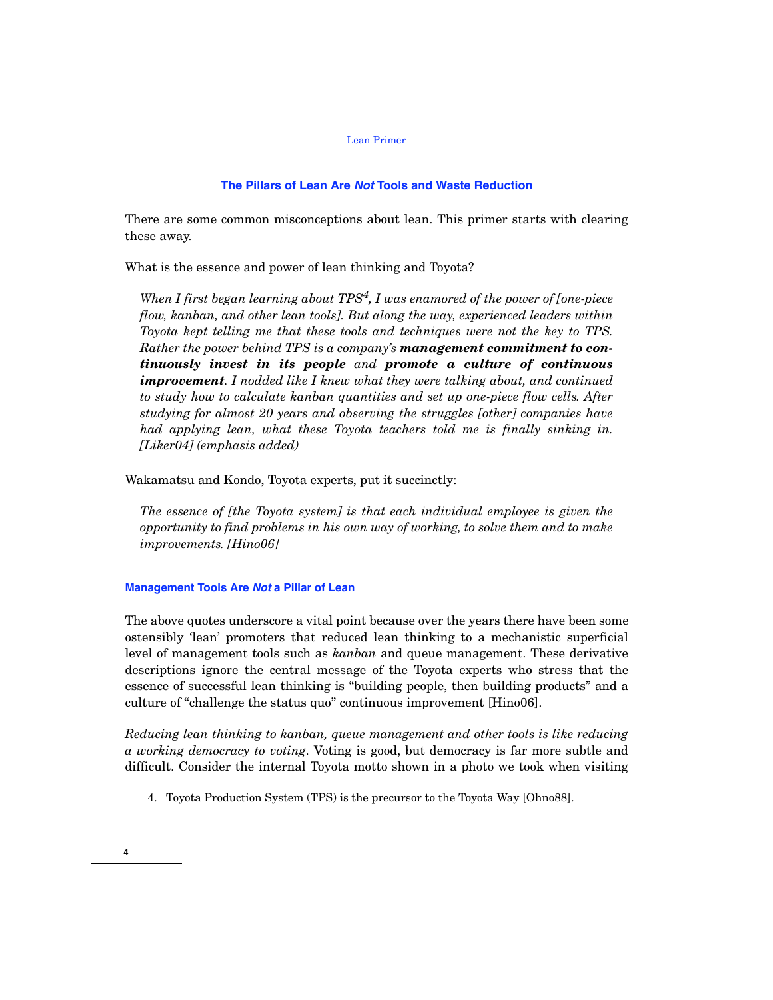# **The Pillars of Lean Are** *Not* **Tools and Waste Reduction**

There are some common misconceptions about lean. This primer starts with clearing these away.

What is the essence and power of lean thinking and Toyota?

*When I first began learning about TPS4, I was enamored of the power of [one-piece flow, kanban, and other lean tools]. But along the way, experienced leaders within Toyota kept telling me that these tools and techniques were not the key to TPS. Rather the power behind TPS is a company's management commitment to continuously invest in its people and promote a culture of continuous improvement. I nodded like I knew what they were talking about, and continued to study how to calculate kanban quantities and set up one-piece flow cells. After studying for almost 20 years and observing the struggles [other] companies have had applying lean, what these Toyota teachers told me is finally sinking in. [Liker04] (emphasis added)*

Wakamatsu and Kondo, Toyota experts, put it succinctly:

*The essence of [the Toyota system] is that each individual employee is given the opportunity to find problems in his own way of working, to solve them and to make improvements. [Hino06]*

# **Management Tools Are** *Not* **a Pillar of Lean**

The above quotes underscore a vital point because over the years there have been some ostensibly 'lean' promoters that reduced lean thinking to a mechanistic superficial level of management tools such as *kanban* and queue management. These derivative descriptions ignore the central message of the Toyota experts who stress that the essence of successful lean thinking is "building people, then building products" and a culture of "challenge the status quo" continuous improvement [Hino06].

*Reducing lean thinking to kanban, queue management and other tools is like reducing a working democracy to voting*. Voting is good, but democracy is far more subtle and difficult. Consider the internal Toyota motto shown in a photo we took when visiting

<sup>4.</sup> Toyota Production System (TPS) is the precursor to the Toyota Way [Ohno88].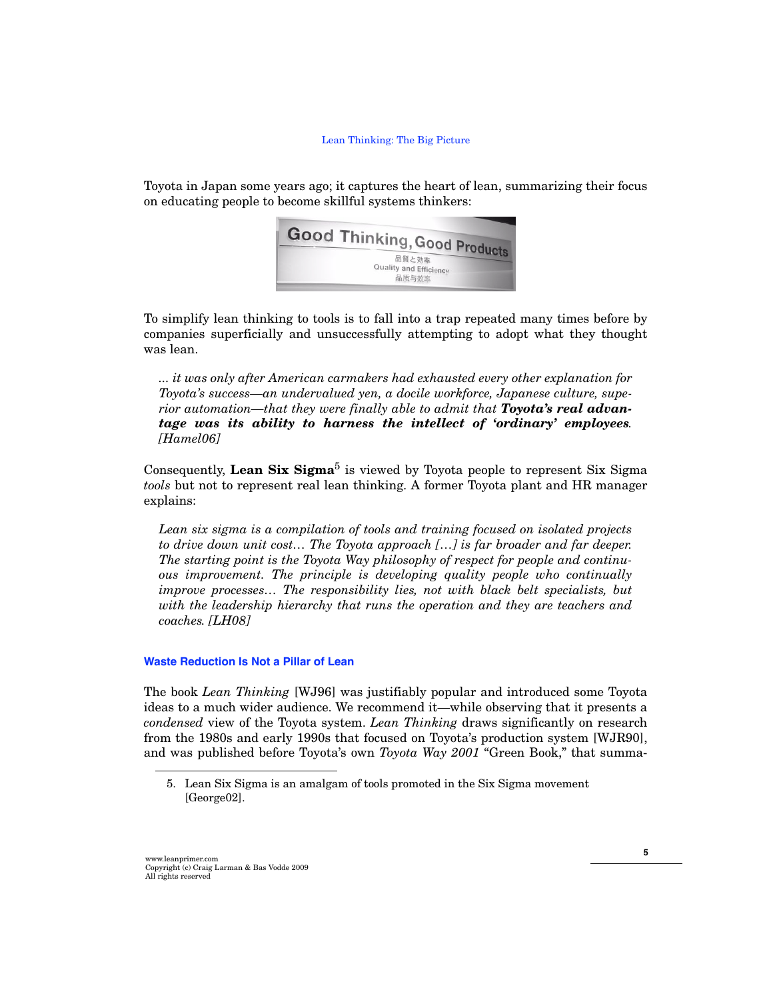### Lean Thinking: The Big Picture

Toyota in Japan some years ago; it captures the heart of lean, summarizing their focus on educating people to become skillful systems thinkers:



To simplify lean thinking to tools is to fall into a trap repeated many times before by companies superficially and unsuccessfully attempting to adopt what they thought was lean.

*... it was only after American carmakers had exhausted every other explanation for Toyota's success—an undervalued yen, a docile workforce, Japanese culture, superior automation—that they were finally able to admit that <i>Toyota's real advantage was its ability to harness the intellect of 'ordinary' employees. [Hamel06]*

Consequently, **Lean Six Sigma**<sup>5</sup> is viewed by Toyota people to represent Six Sigma *tools* but not to represent real lean thinking. A former Toyota plant and HR manager explains:

*Lean six sigma is a compilation of tools and training focused on isolated projects to drive down unit cost… The Toyota approach […] is far broader and far deeper. The starting point is the Toyota Way philosophy of respect for people and continuous improvement. The principle is developing quality people who continually improve processes… The responsibility lies, not with black belt specialists, but with the leadership hierarchy that runs the operation and they are teachers and coaches. [LH08]*

### **Waste Reduction Is Not a Pillar of Lean**

The book *Lean Thinking* [WJ96] was justifiably popular and introduced some Toyota ideas to a much wider audience. We recommend it—while observing that it presents a *condensed* view of the Toyota system. *Lean Thinking* draws significantly on research from the 1980s and early 1990s that focused on Toyota's production system [WJR90], and was published before Toyota's own *Toyota Way 2001* "Green Book," that summa-

<sup>5.</sup> Lean Six Sigma is an amalgam of tools promoted in the Six Sigma movement [George02].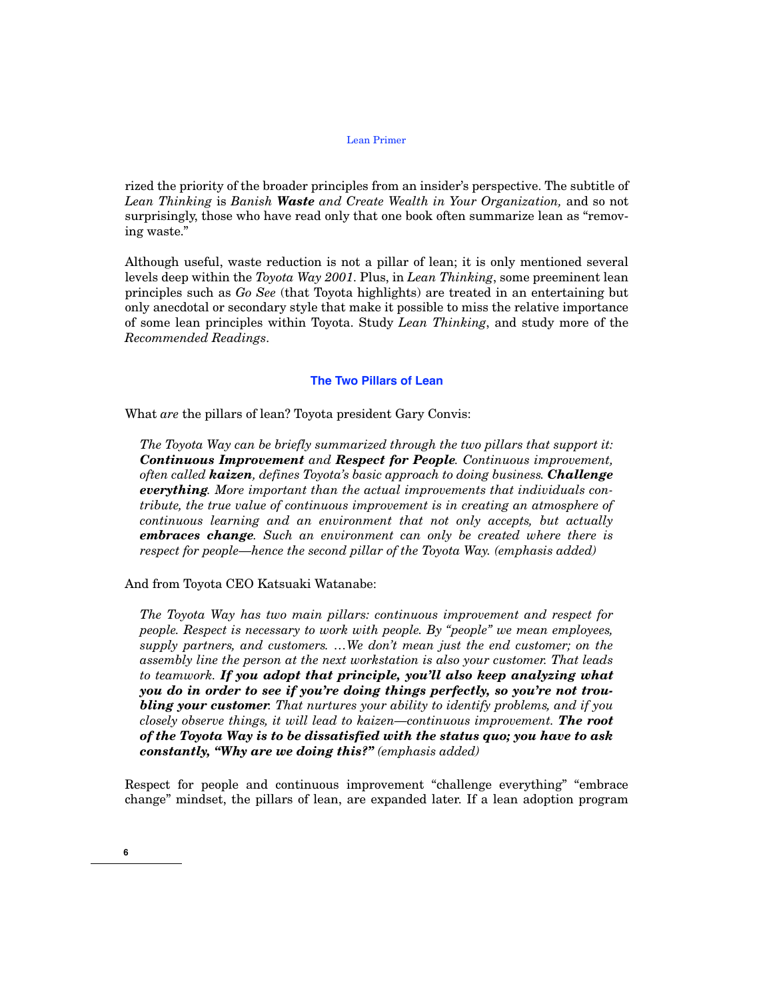rized the priority of the broader principles from an insider's perspective. The subtitle of *Lean Thinking* is *Banish Waste and Create Wealth in Your Organization,* and so not surprisingly, those who have read only that one book often summarize lean as "removing waste."

Although useful, waste reduction is not a pillar of lean; it is only mentioned several levels deep within the *Toyota Way 2001*. Plus, in *Lean Thinking*, some preeminent lean principles such as *Go See* (that Toyota highlights) are treated in an entertaining but only anecdotal or secondary style that make it possible to miss the relative importance of some lean principles within Toyota. Study *Lean Thinking*, and study more of the *Recommended Readings*.

# **The Two Pillars of Lean**

What *are* the pillars of lean? Toyota president Gary Convis:

*The Toyota Way can be briefly summarized through the two pillars that support it: Continuous Improvement and Respect for People. Continuous improvement, often called kaizen, defines Toyota's basic approach to doing business. Challenge everything. More important than the actual improvements that individuals contribute, the true value of continuous improvement is in creating an atmosphere of continuous learning and an environment that not only accepts, but actually embraces change. Such an environment can only be created where there is respect for people—hence the second pillar of the Toyota Way. (emphasis added)*

And from Toyota CEO Katsuaki Watanabe:

*The Toyota Way has two main pillars: continuous improvement and respect for people. Respect is necessary to work with people. By "people" we mean employees, supply partners, and customers. …We don't mean just the end customer; on the assembly line the person at the next workstation is also your customer. That leads to teamwork. If you adopt that principle, you'll also keep analyzing what you do in order to see if you're doing things perfectly, so you're not troubling your customer. That nurtures your ability to identify problems, and if you closely observe things, it will lead to kaizen—continuous improvement. The root of the Toyota Way is to be dissatisfied with the status quo; you have to ask constantly, "Why are we doing this?" (emphasis added)*

Respect for people and continuous improvement "challenge everything" "embrace change" mindset, the pillars of lean, are expanded later. If a lean adoption program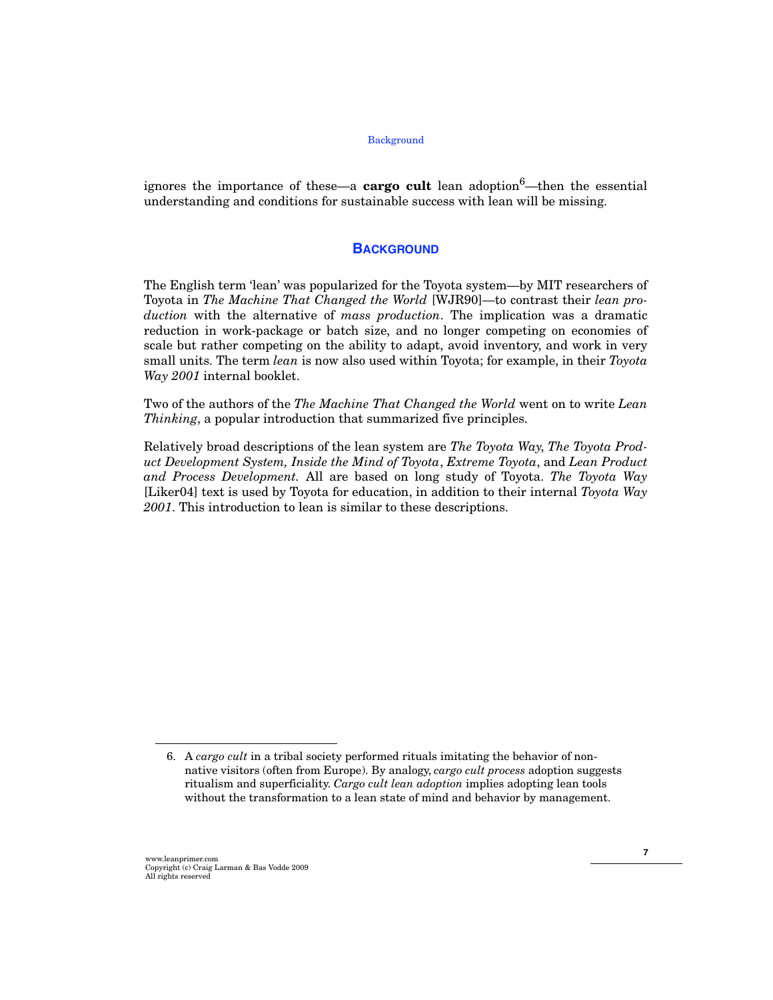# **Background**

ignores the importance of these—a **cargo cult** lean adoption6—then the essential understanding and conditions for sustainable success with lean will be missing.

# **BACKGROUND**

The English term 'lean' was popularized for the Toyota system—by MIT researchers of Toyota in *The Machine That Changed the World* [WJR90]—to contrast their *lean production* with the alternative of *mass production*. The implication was a dramatic reduction in work-package or batch size, and no longer competing on economies of scale but rather competing on the ability to adapt, avoid inventory, and work in very small units. The term *lean* is now also used within Toyota; for example, in their *Toyota Way 2001* internal booklet.

Two of the authors of the *The Machine That Changed the World* went on to write *Lean Thinking*, a popular introduction that summarized five principles.

Relatively broad descriptions of the lean system are *The Toyota Way*, *The Toyota Product Development System, Inside the Mind of Toyota*, *Extreme Toyota*, and *Lean Product and Process Development.* All are based on long study of Toyota. *The Toyota Way* [Liker04] text is used by Toyota for education, in addition to their internal *Toyota Way 2001*. This introduction to lean is similar to these descriptions.

<sup>6.</sup> A *cargo cult* in a tribal society performed rituals imitating the behavior of nonnative visitors (often from Europe). By analogy, *cargo cult process* adoption suggests ritualism and superficiality. *Cargo cult lean adoption* implies adopting lean tools without the transformation to a lean state of mind and behavior by management.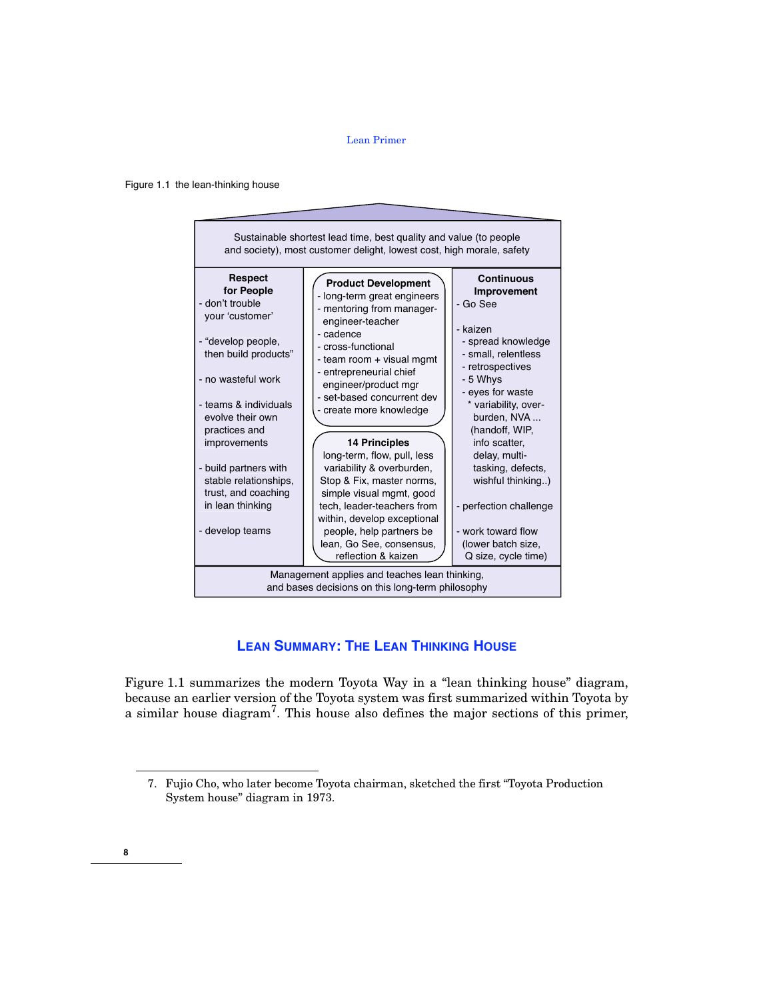#### Figure 1.1 the lean-thinking house



# **LEAN SUMMARY: THE LEAN THINKING HOUSE**

Figure 1.1 summarizes the modern Toyota Way in a "lean thinking house" diagram, because an earlier version of the Toyota system was first summarized within Toyota by a similar house diagram<sup>7</sup>. This house also defines the major sections of this primer,

<sup>7.</sup> Fujio Cho, who later become Toyota chairman, sketched the first "Toyota Production System house" diagram in 1973.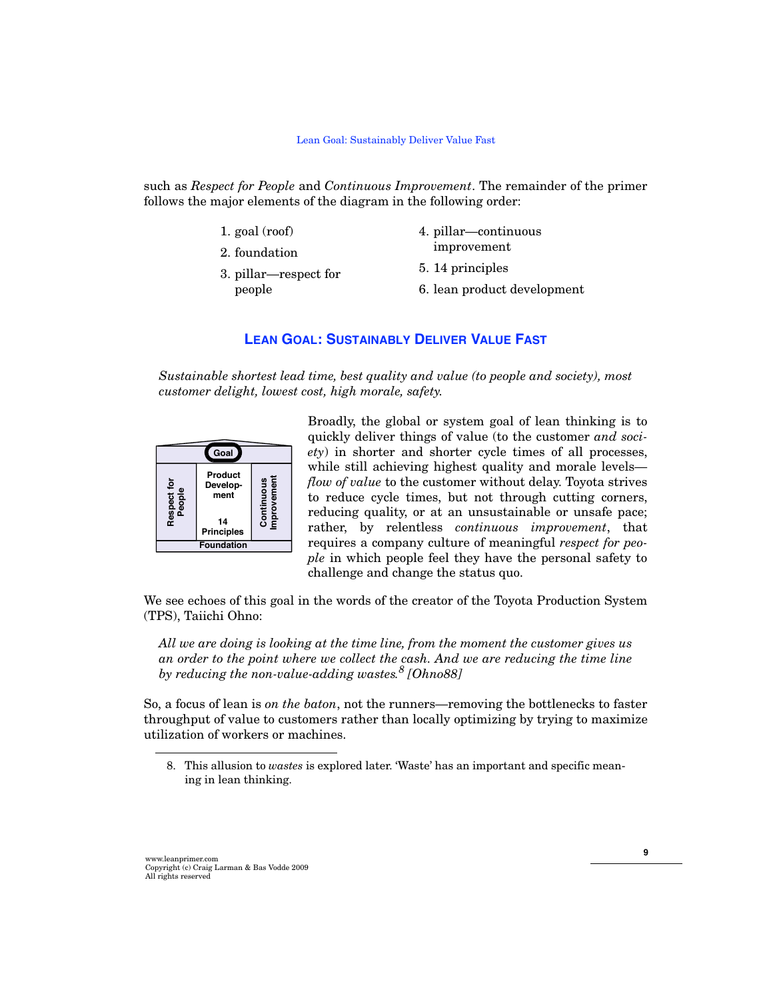### Lean Goal: Sustainably Deliver Value Fast

such as *Respect for People* and *Continuous Improvement*. The remainder of the primer follows the major elements of the diagram in the following order:

| 1. $\text{goal}(\text{roof})$ | 4. pillar—continuous        |
|-------------------------------|-----------------------------|
| 2. foundation                 | improvement                 |
| 3. pillar—respect for         | 5. 14 principles            |
| people                        | 6. lean product development |

# **LEAN GOAL: SUSTAINABLY DELIVER VALUE FAST**

*Sustainable shortest lead time, best quality and value (to people and society), most customer delight, lowest cost, high morale, safety.*



Broadly, the global or system goal of lean thinking is to quickly deliver things of value (to the customer *and society*) in shorter and shorter cycle times of all processes, while still achieving highest quality and morale levels *flow of value* to the customer without delay. Toyota strives to reduce cycle times, but not through cutting corners, reducing quality, or at an unsustainable or unsafe pace; rather, by relentless *continuous improvement*, that requires a company culture of meaningful *respect for people* in which people feel they have the personal safety to challenge and change the status quo.

We see echoes of this goal in the words of the creator of the Toyota Production System (TPS), Taiichi Ohno:

*All we are doing is looking at the time line, from the moment the customer gives us an order to the point where we collect the cash. And we are reducing the time line by reducing the non-value-adding wastes.8 [Ohno88]*

So, a focus of lean is *on the baton*, not the runners—removing the bottlenecks to faster throughput of value to customers rather than locally optimizing by trying to maximize utilization of workers or machines.

<sup>8.</sup> This allusion to *wastes* is explored later. 'Waste' has an important and specific meaning in lean thinking.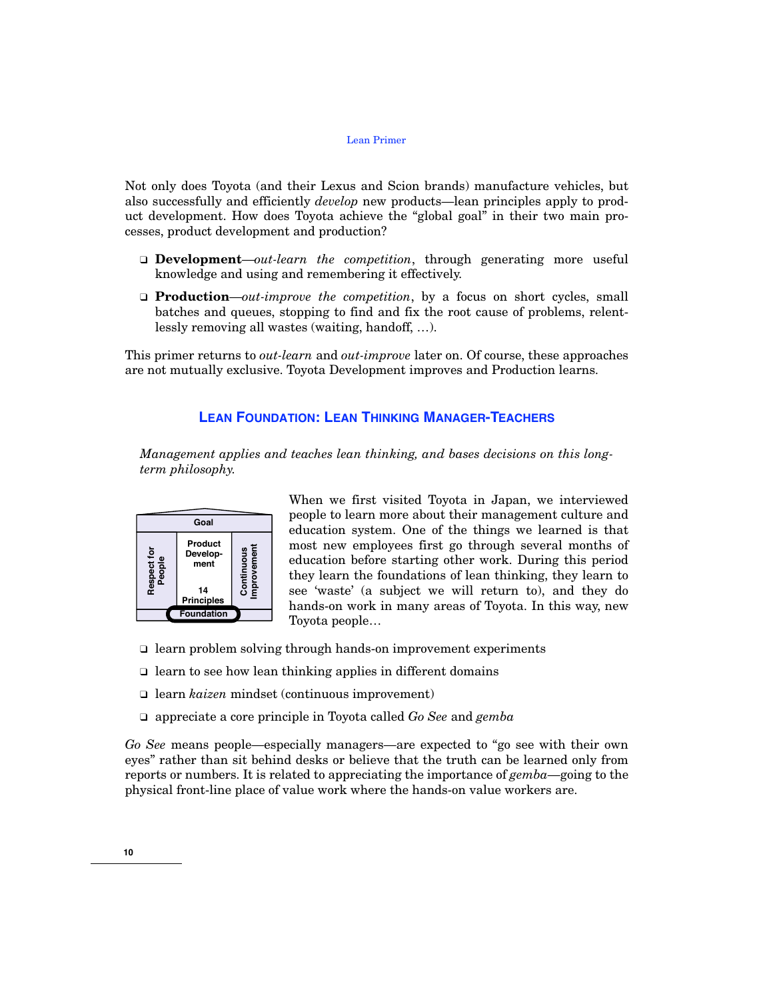Not only does Toyota (and their Lexus and Scion brands) manufacture vehicles, but also successfully and efficiently *develop* new products—lean principles apply to product development. How does Toyota achieve the "global goal" in their two main processes, product development and production?

- ❑ **Development**—*out-learn the competition*, through generating more useful knowledge and using and remembering it effectively.
- ❑ **Production**—*out-improve the competition*, by a focus on short cycles, small batches and queues, stopping to find and fix the root cause of problems, relentlessly removing all wastes (waiting, handoff, …).

This primer returns to *out-learn* and *out-improve* later on. Of course, these approaches are not mutually exclusive. Toyota Development improves and Production learns.

# **LEAN FOUNDATION: LEAN THINKING MANAGER-TEACHERS**

*Management applies and teaches lean thinking, and bases decisions on this longterm philosophy.*



When we first visited Toyota in Japan, we interviewed people to learn more about their management culture and education system. One of the things we learned is that most new employees first go through several months of education before starting other work. During this period they learn the foundations of lean thinking, they learn to see 'waste' (a subject we will return to), and they do hands-on work in many areas of Toyota. In this way, new Toyota people…

- ❑ learn problem solving through hands-on improvement experiments
- ❑ learn to see how lean thinking applies in different domains
- ❑ learn *kaizen* mindset (continuous improvement)
- ❑ appreciate a core principle in Toyota called *Go See* and *gemba*

*Go See* means people—especially managers—are expected to "go see with their own eyes" rather than sit behind desks or believe that the truth can be learned only from reports or numbers. It is related to appreciating the importance of *gemba*—going to the physical front-line place of value work where the hands-on value workers are.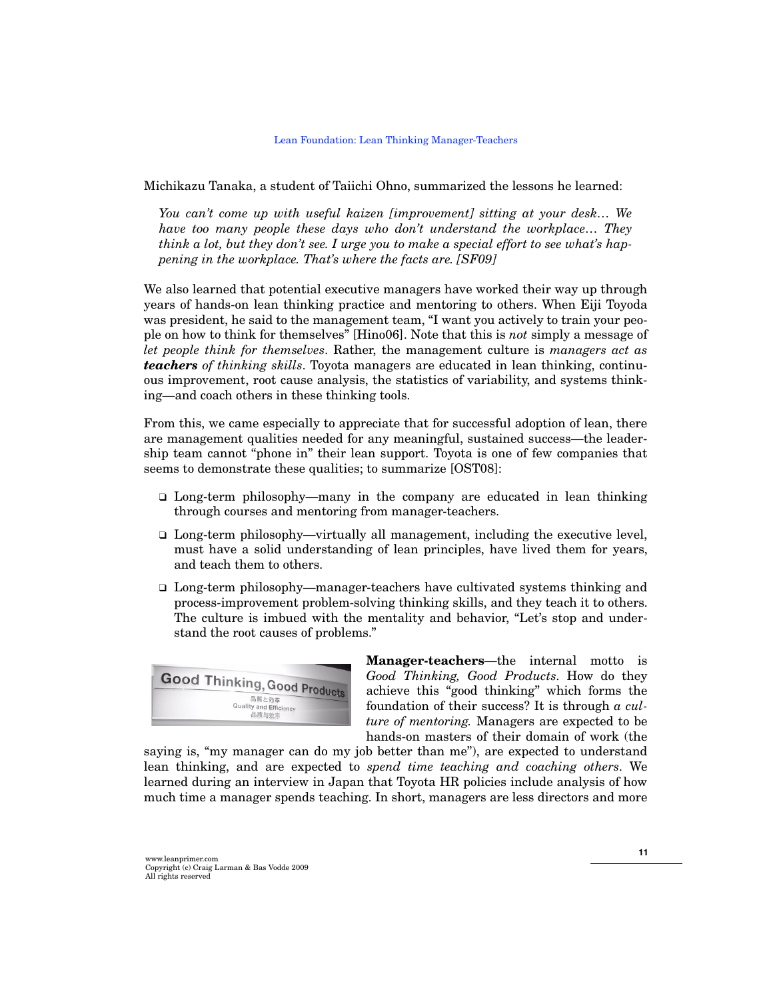### Lean Foundation: Lean Thinking Manager-Teachers

Michikazu Tanaka, a student of Taiichi Ohno, summarized the lessons he learned:

*You can't come up with useful kaizen [improvement] sitting at your desk… We have too many people these days who don't understand the workplace… They think a lot, but they don't see. I urge you to make a special effort to see what's happening in the workplace. That's where the facts are. [SF09]*

We also learned that potential executive managers have worked their way up through years of hands-on lean thinking practice and mentoring to others. When Eiji Toyoda was president, he said to the management team, "I want you actively to train your people on how to think for themselves" [Hino06]. Note that this is *not* simply a message of *let people think for themselves*. Rather, the management culture is *managers act as teachers of thinking skills*. Toyota managers are educated in lean thinking, continuous improvement, root cause analysis, the statistics of variability, and systems thinking—and coach others in these thinking tools.

From this, we came especially to appreciate that for successful adoption of lean, there are management qualities needed for any meaningful, sustained success—the leadership team cannot "phone in" their lean support. Toyota is one of few companies that seems to demonstrate these qualities; to summarize [OST08]:

- ❑ Long-term philosophy—many in the company are educated in lean thinking through courses and mentoring from manager-teachers.
- ❑ Long-term philosophy—virtually all management, including the executive level, must have a solid understanding of lean principles, have lived them for years, and teach them to others.
- ❑ Long-term philosophy—manager-teachers have cultivated systems thinking and process-improvement problem-solving thinking skills, and they teach it to others. The culture is imbued with the mentality and behavior, "Let's stop and understand the root causes of problems."



**Manager-teachers**—the internal motto is *Good Thinking, Good Products*. How do they achieve this "good thinking" which forms the foundation of their success? It is through *a culture of mentoring.* Managers are expected to be hands-on masters of their domain of work (the

saying is, "my manager can do my job better than me"), are expected to understand lean thinking, and are expected to *spend time teaching and coaching others*. We learned during an interview in Japan that Toyota HR policies include analysis of how much time a manager spends teaching. In short, managers are less directors and more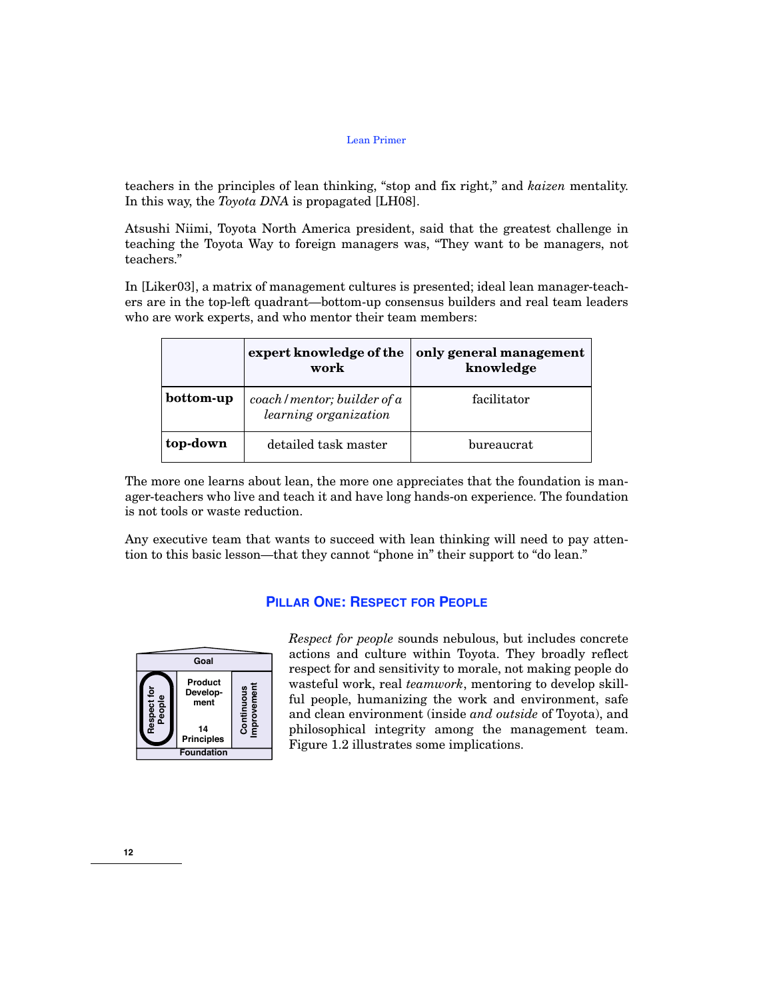teachers in the principles of lean thinking, "stop and fix right," and *kaizen* mentality. In this way, the *Toyota DNA* is propagated [LH08].

Atsushi Niimi, Toyota North America president, said that the greatest challenge in teaching the Toyota Way to foreign managers was, "They want to be managers, not teachers."

In [Liker03], a matrix of management cultures is presented; ideal lean manager-teachers are in the top-left quadrant—bottom-up consensus builders and real team leaders who are work experts, and who mentor their team members:

|           | expert knowledge of the<br>work                         | only general management<br>knowledge |
|-----------|---------------------------------------------------------|--------------------------------------|
| bottom-up | $\cosh /$ mentor; builder of a<br>learning organization | facilitator                          |
| top-down  | detailed task master                                    | bureaucrat                           |

The more one learns about lean, the more one appreciates that the foundation is manager-teachers who live and teach it and have long hands-on experience. The foundation is not tools or waste reduction.

Any executive team that wants to succeed with lean thinking will need to pay attention to this basic lesson—that they cannot "phone in" their support to "do lean."

# **PILLAR ONE: RESPECT FOR PEOPLE**



*Respect for people* sounds nebulous, but includes concrete actions and culture within Toyota. They broadly reflect respect for and sensitivity to morale, not making people do wasteful work, real *teamwork*, mentoring to develop skillful people, humanizing the work and environment, safe and clean environment (inside *and outside* of Toyota), and philosophical integrity among the management team. Figure 1.2 illustrates some implications.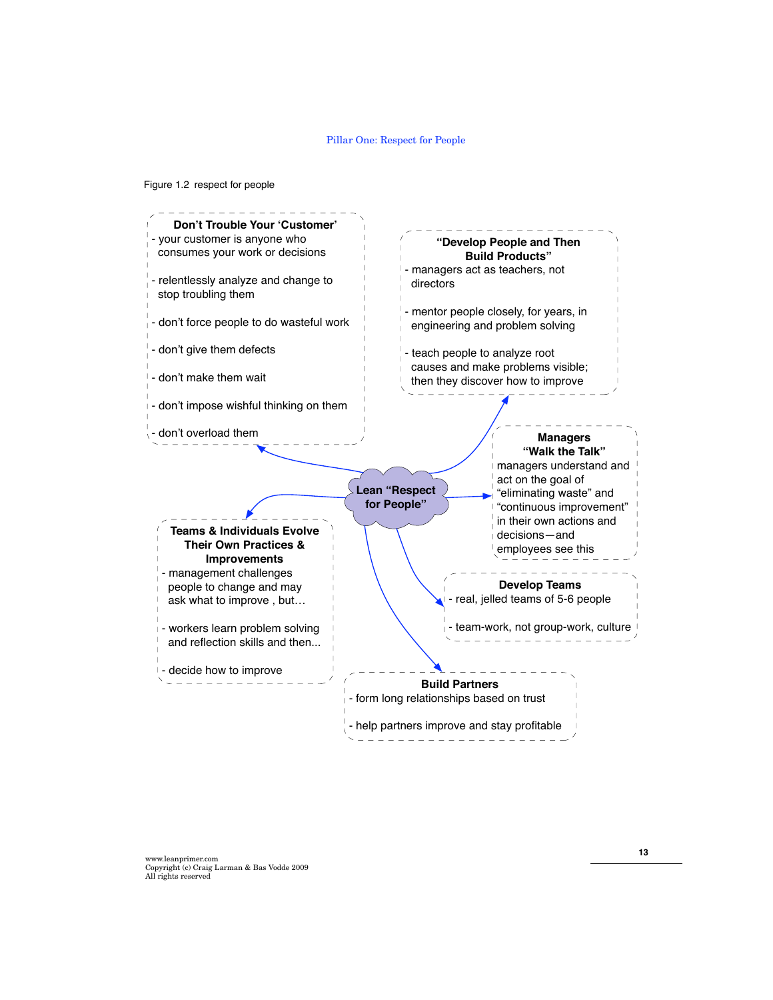### Pillar One: Respect for People

Figure 1.2 respect for people



www.leanprimer.com Copyright (c) Craig Larman & Bas Vodde 2009 All rights reserved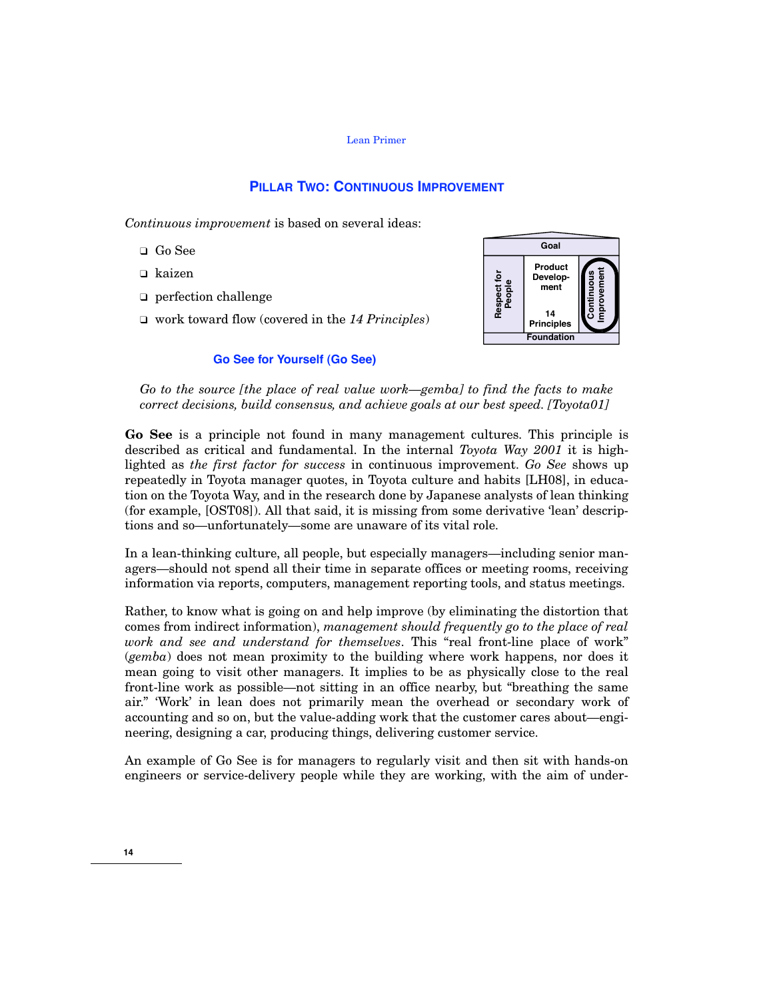# **PILLAR TWO: CONTINUOUS IMPROVEMENT**

*Continuous improvement* is based on several ideas:

- ❑ Go See
- ❑ kaizen
- ❑ perfection challenge
- ❑ work toward flow (covered in the *14 Principles*)

# **Go See for Yourself (Go See)**



*Go to the source [the place of real value work—gemba] to find the facts to make correct decisions, build consensus, and achieve goals at our best speed. [Toyota01]*

**Go See** is a principle not found in many management cultures. This principle is described as critical and fundamental. In the internal *Toyota Way 2001* it is highlighted as *the first factor for success* in continuous improvement. *Go See* shows up repeatedly in Toyota manager quotes, in Toyota culture and habits [LH08], in education on the Toyota Way, and in the research done by Japanese analysts of lean thinking (for example, [OST08]). All that said, it is missing from some derivative 'lean' descriptions and so—unfortunately—some are unaware of its vital role.

In a lean-thinking culture, all people, but especially managers—including senior managers—should not spend all their time in separate offices or meeting rooms, receiving information via reports, computers, management reporting tools, and status meetings.

Rather, to know what is going on and help improve (by eliminating the distortion that comes from indirect information), *management should frequently go to the place of real work and see and understand for themselves*. This "real front-line place of work" (*gemba*) does not mean proximity to the building where work happens, nor does it mean going to visit other managers. It implies to be as physically close to the real front-line work as possible—not sitting in an office nearby, but "breathing the same air." 'Work' in lean does not primarily mean the overhead or secondary work of accounting and so on, but the value-adding work that the customer cares about—engineering, designing a car, producing things, delivering customer service.

An example of Go See is for managers to regularly visit and then sit with hands-on engineers or service-delivery people while they are working, with the aim of under-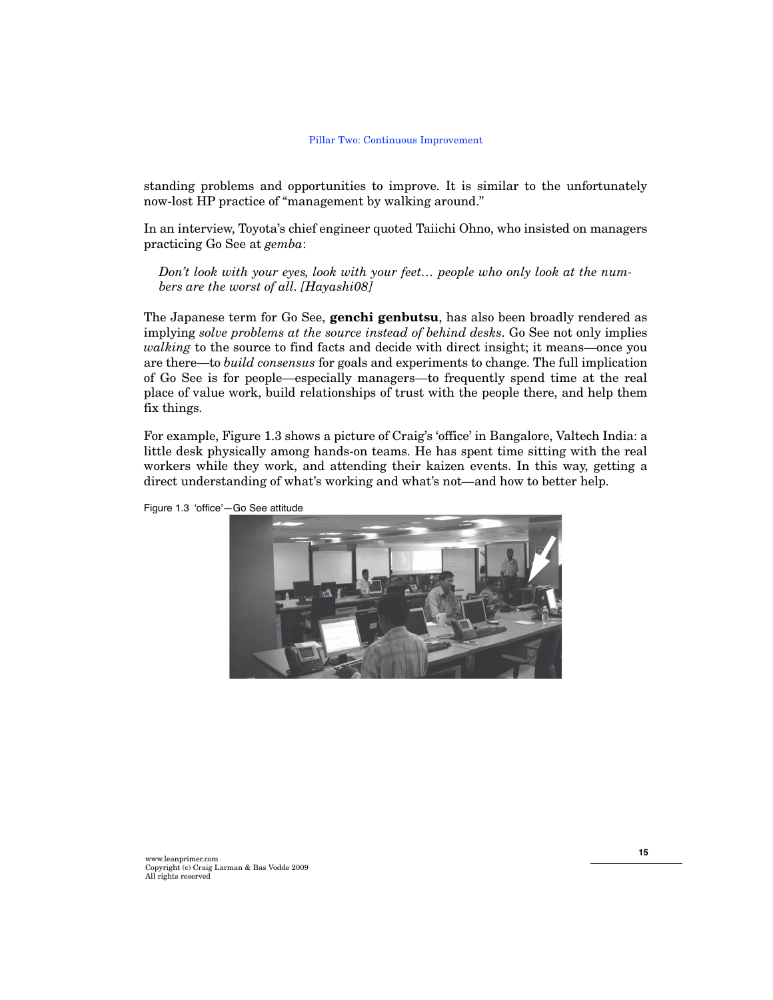#### Pillar Two: Continuous Improvement

standing problems and opportunities to improve. It is similar to the unfortunately now-lost HP practice of "management by walking around."

In an interview, Toyota's chief engineer quoted Taiichi Ohno, who insisted on managers practicing Go See at *gemba*:

*Don't look with your eyes, look with your feet… people who only look at the numbers are the worst of all. [Hayashi08]*

The Japanese term for Go See, **genchi genbutsu**, has also been broadly rendered as implying *solve problems at the source instead of behind desks*. Go See not only implies *walking* to the source to find facts and decide with direct insight; it means—once you are there—to *build consensus* for goals and experiments to change. The full implication of Go See is for people—especially managers—to frequently spend time at the real place of value work, build relationships of trust with the people there, and help them fix things.

For example, Figure 1.3 shows a picture of Craig's 'office' in Bangalore, Valtech India: a little desk physically among hands-on teams. He has spent time sitting with the real workers while they work, and attending their kaizen events. In this way, getting a direct understanding of what's working and what's not—and how to better help.



Figure 1.3 'office'—Go See attitude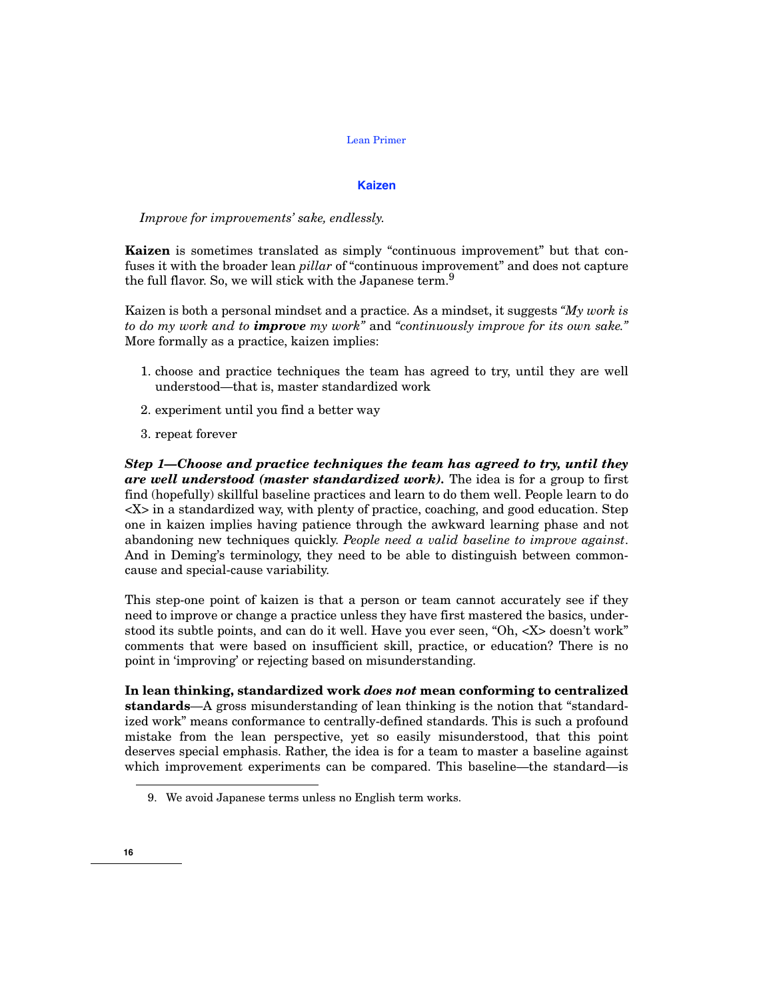### **Kaizen**

*Improve for improvements' sake, endlessly.*

**Kaizen** is sometimes translated as simply "continuous improvement" but that confuses it with the broader lean *pillar* of "continuous improvement" and does not capture the full flavor. So, we will stick with the Japanese term.<sup>9</sup>

Kaizen is both a personal mindset and a practice. As a mindset, it suggests *"My work is to do my work and to improve my work"* and *"continuously improve for its own sake."* More formally as a practice, kaizen implies:

- 1. choose and practice techniques the team has agreed to try, until they are well understood—that is, master standardized work
- 2. experiment until you find a better way
- 3. repeat forever

*Step 1—Choose and practice techniques the team has agreed to try, until they are well understood (master standardized work).* The idea is for a group to first find (hopefully) skillful baseline practices and learn to do them well. People learn to do <X> in a standardized way, with plenty of practice, coaching, and good education. Step one in kaizen implies having patience through the awkward learning phase and not abandoning new techniques quickly. *People need a valid baseline to improve against*. And in Deming's terminology, they need to be able to distinguish between commoncause and special-cause variability.

This step-one point of kaizen is that a person or team cannot accurately see if they need to improve or change a practice unless they have first mastered the basics, understood its subtle points, and can do it well. Have you ever seen, "Oh, <X> doesn't work" comments that were based on insufficient skill, practice, or education? There is no point in 'improving' or rejecting based on misunderstanding.

**In lean thinking, standardized work** *does not* **mean conforming to centralized standards**—A gross misunderstanding of lean thinking is the notion that "standardized work" means conformance to centrally-defined standards. This is such a profound mistake from the lean perspective, yet so easily misunderstood, that this point deserves special emphasis. Rather, the idea is for a team to master a baseline against which improvement experiments can be compared. This baseline—the standard—is

<sup>9.</sup> We avoid Japanese terms unless no English term works.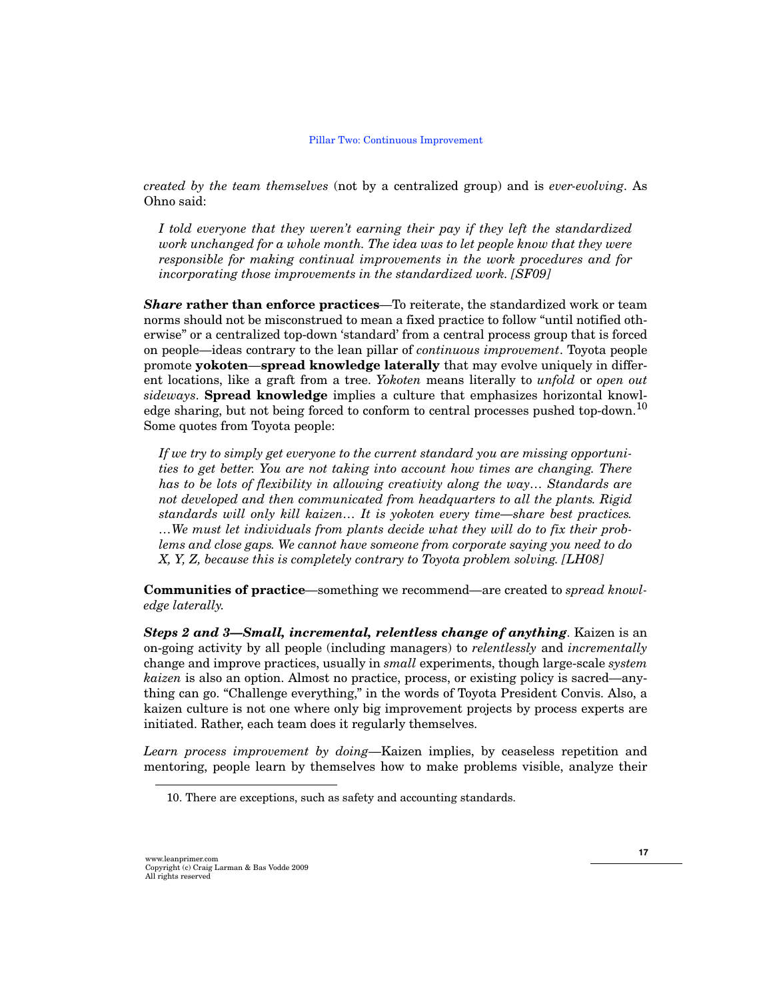#### Pillar Two: Continuous Improvement

*created by the team themselves* (not by a centralized group) and is *ever-evolving*. As Ohno said:

*I told everyone that they weren't earning their pay if they left the standardized work unchanged for a whole month. The idea was to let people know that they were responsible for making continual improvements in the work procedures and for incorporating those improvements in the standardized work. [SF09]*

*Share* **rather than enforce practices**—To reiterate, the standardized work or team norms should not be misconstrued to mean a fixed practice to follow "until notified otherwise" or a centralized top-down 'standard' from a central process group that is forced on people—ideas contrary to the lean pillar of *continuous improvement*. Toyota people promote **yokoten**—**spread knowledge laterally** that may evolve uniquely in different locations, like a graft from a tree. *Yokoten* means literally to *unfold* or *open out sideways*. **Spread knowledge** implies a culture that emphasizes horizontal knowledge sharing, but not being forced to conform to central processes pushed top-down.<sup>10</sup> Some quotes from Toyota people:

*If we try to simply get everyone to the current standard you are missing opportunities to get better. You are not taking into account how times are changing. There has to be lots of flexibility in allowing creativity along the way… Standards are not developed and then communicated from headquarters to all the plants. Rigid standards will only kill kaizen… It is yokoten every time—share best practices. …We must let individuals from plants decide what they will do to fix their problems and close gaps. We cannot have someone from corporate saying you need to do X, Y, Z, because this is completely contrary to Toyota problem solving. [LH08]*

**Communities of practice**—something we recommend—are created to *spread knowledge laterally*.

*Steps 2 and 3—Small, incremental, relentless change of anything*. Kaizen is an on-going activity by all people (including managers) to *relentlessly* and *incrementally* change and improve practices, usually in *small* experiments, though large-scale *system kaizen* is also an option. Almost no practice, process, or existing policy is sacred—anything can go. "Challenge everything," in the words of Toyota President Convis. Also, a kaizen culture is not one where only big improvement projects by process experts are initiated. Rather, each team does it regularly themselves.

*Learn process improvement by doing*—Kaizen implies, by ceaseless repetition and mentoring, people learn by themselves how to make problems visible, analyze their

<sup>10.</sup> There are exceptions, such as safety and accounting standards.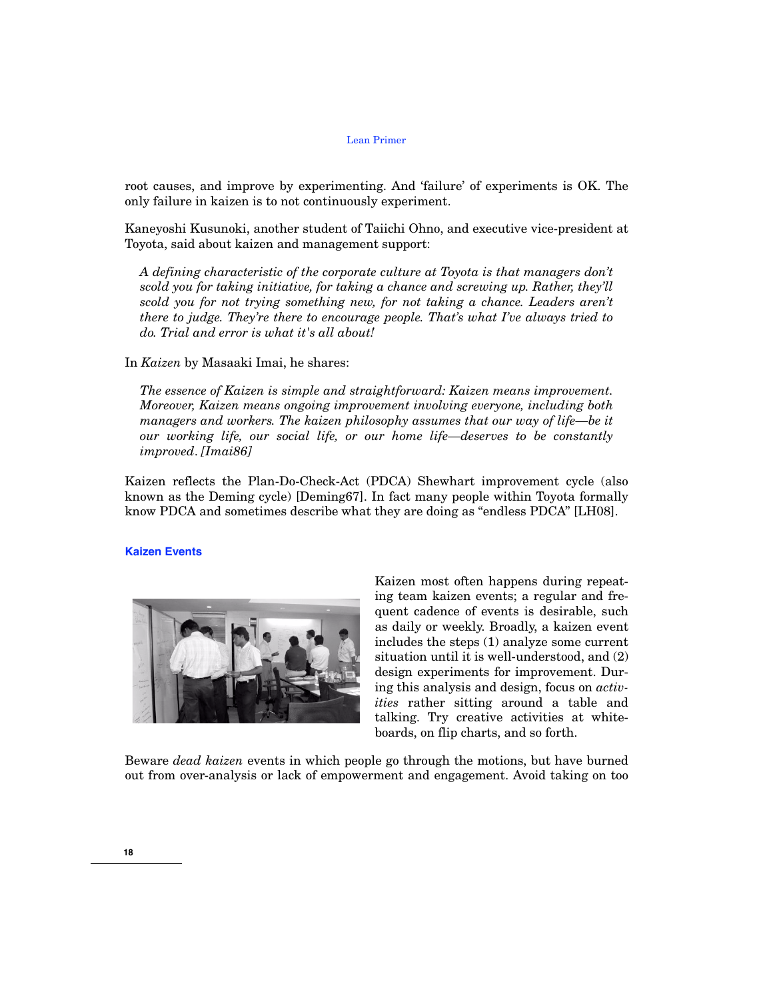root causes, and improve by experimenting. And 'failure' of experiments is OK. The only failure in kaizen is to not continuously experiment.

Kaneyoshi Kusunoki, another student of Taiichi Ohno, and executive vice-president at Toyota, said about kaizen and management support:

*A defining characteristic of the corporate culture at Toyota is that managers don't scold you for taking initiative, for taking a chance and screwing up. Rather, they'll scold you for not trying something new, for not taking a chance. Leaders aren't there to judge. They're there to encourage people. That's what I've always tried to do. Trial and error is what it's all about!*

In *Kaizen* by Masaaki Imai, he shares:

*The essence of Kaizen is simple and straightforward: Kaizen means improvement. Moreover, Kaizen means ongoing improvement involving everyone, including both managers and workers. The kaizen philosophy assumes that our way of life—be it our working life, our social life, or our home life—deserves to be constantly improved*. *[Imai86]*

Kaizen reflects the Plan-Do-Check-Act (PDCA) Shewhart improvement cycle (also known as the Deming cycle) [Deming67]. In fact many people within Toyota formally know PDCA and sometimes describe what they are doing as "endless PDCA" [LH08].

# **Kaizen Events**



Kaizen most often happens during repeating team kaizen events; a regular and frequent cadence of events is desirable, such as daily or weekly. Broadly, a kaizen event includes the steps (1) analyze some current situation until it is well-understood, and (2) design experiments for improvement. During this analysis and design, focus on *activities* rather sitting around a table and talking. Try creative activities at whiteboards, on flip charts, and so forth.

Beware *dead kaizen* events in which people go through the motions, but have burned out from over-analysis or lack of empowerment and engagement. Avoid taking on too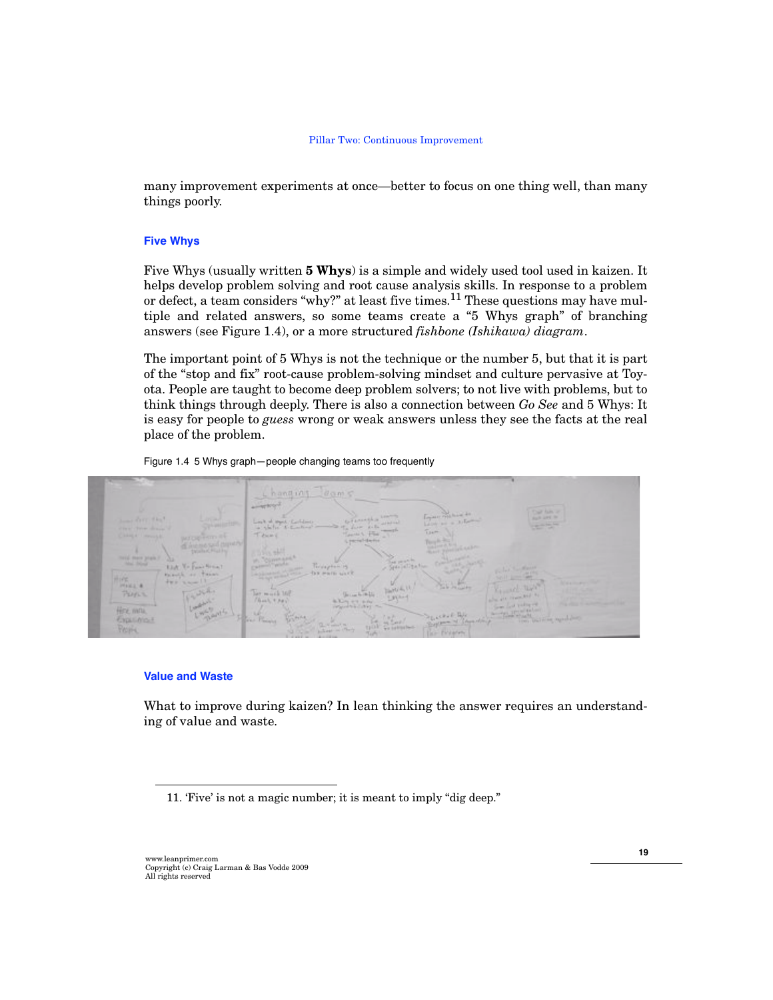#### Pillar Two: Continuous Improvement

many improvement experiments at once—better to focus on one thing well, than many things poorly.

### **Five Whys**

Five Whys (usually written **5 Whys**) is a simple and widely used tool used in kaizen. It helps develop problem solving and root cause analysis skills. In response to a problem or defect, a team considers "why?" at least five times.<sup>11</sup> These questions may have multiple and related answers, so some teams create a "5 Whys graph" of branching answers (see Figure 1.4), or a more structured *fishbone (Ishikawa) diagram*.

The important point of 5 Whys is not the technique or the number 5, but that it is part of the "stop and fix" root-cause problem-solving mindset and culture pervasive at Toyota. People are taught to become deep problem solvers; to not live with problems, but to think things through deeply. There is also a connection between *Go See* and 5 Whys: It is easy for people to *guess* wrong or weak answers unless they see the facts at the real place of the problem.





#### **Value and Waste**

What to improve during kaizen? In lean thinking the answer requires an understanding of value and waste.

<sup>11. &#</sup>x27;Five' is not a magic number; it is meant to imply "dig deep."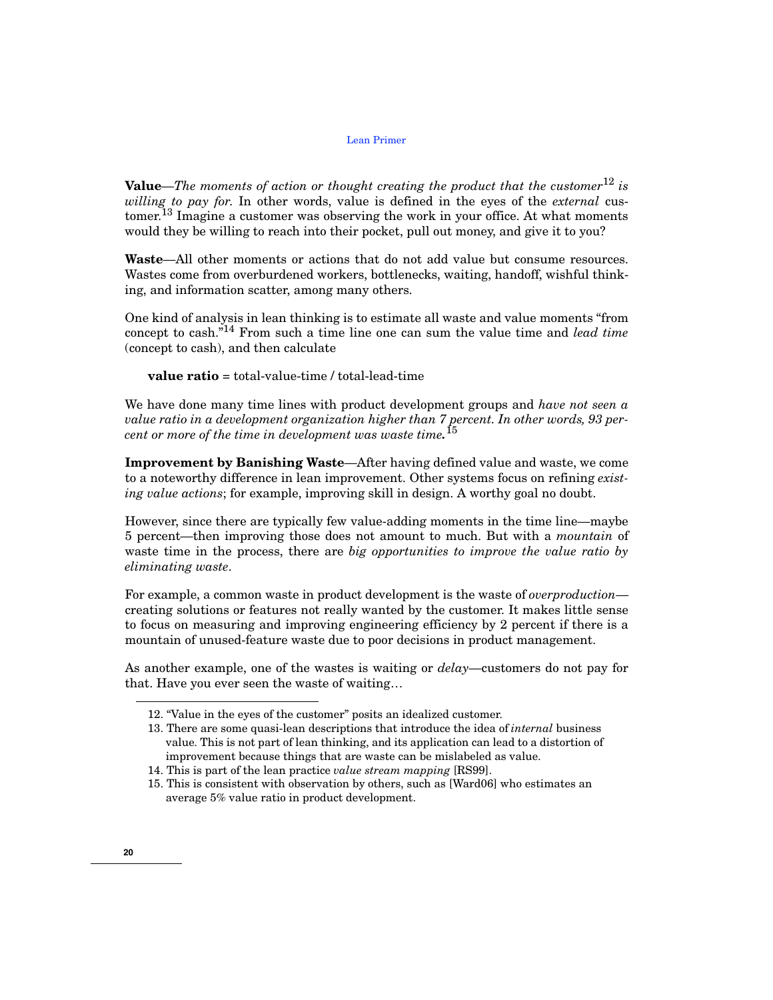**Value**—*The moments of action or thought creating the product that the customer*12 *is willing to pay for*. In other words, value is defined in the eyes of the *external* customer.<sup>13</sup> Imagine a customer was observing the work in your office. At what moments would they be willing to reach into their pocket, pull out money, and give it to you?

**Waste**—All other moments or actions that do not add value but consume resources. Wastes come from overburdened workers, bottlenecks, waiting, handoff, wishful thinking, and information scatter, among many others.

One kind of analysis in lean thinking is to estimate all waste and value moments "from concept to cash."14 From such a time line one can sum the value time and *lead time* (concept to cash), and then calculate

**value ratio** = total-value-time / total-lead-time

We have done many time lines with product development groups and *have not seen a value ratio in a development organization higher than 7 percent. In other words, 93 percent or more of the time in development was waste time.* 15

**Improvement by Banishing Waste**—After having defined value and waste, we come to a noteworthy difference in lean improvement. Other systems focus on refining *existing value actions*; for example, improving skill in design. A worthy goal no doubt.

However, since there are typically few value-adding moments in the time line—maybe 5 percent—then improving those does not amount to much. But with a *mountain* of waste time in the process, there are *big opportunities to improve the value ratio by eliminating waste*.

For example, a common waste in product development is the waste of *overproduction* creating solutions or features not really wanted by the customer. It makes little sense to focus on measuring and improving engineering efficiency by 2 percent if there is a mountain of unused-feature waste due to poor decisions in product management.

As another example, one of the wastes is waiting or *delay*—customers do not pay for that. Have you ever seen the waste of waiting…

<sup>12. &</sup>quot;Value in the eyes of the customer" posits an idealized customer.

<sup>13.</sup> There are some quasi-lean descriptions that introduce the idea of *internal* business value. This is not part of lean thinking, and its application can lead to a distortion of improvement because things that are waste can be mislabeled as value.

<sup>14.</sup> This is part of the lean practice *value stream mapping* [RS99].

<sup>15.</sup> This is consistent with observation by others, such as [Ward06] who estimates an average 5% value ratio in product development.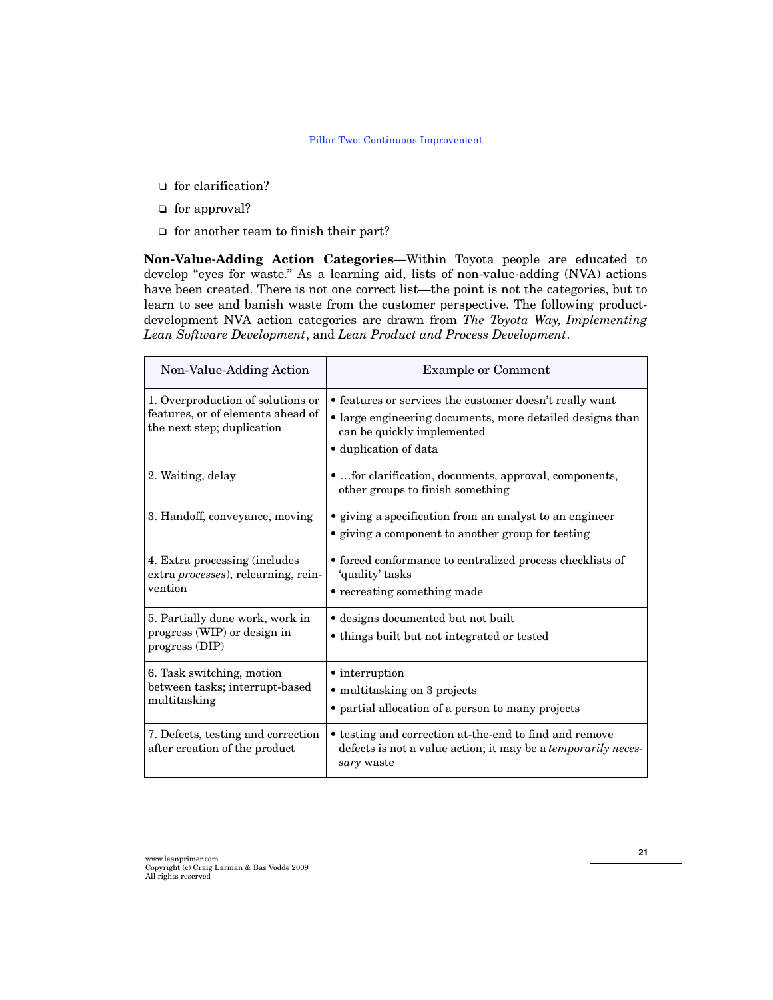# Pillar Two: Continuous Improvement

- ❑ for clarification?
- ❑ for approval?
- ❑ for another team to finish their part?

**Non-Value-Adding Action Categories**—Within Toyota people are educated to develop "eyes for waste." As a learning aid, lists of non-value-adding (NVA) actions have been created. There is not one correct list—the point is not the categories, but to learn to see and banish waste from the customer perspective. The following productdevelopment NVA action categories are drawn from *The Toyota Way*, *Implementing Lean Software Development*, and *Lean Product and Process Development*.

| Non-Value-Adding Action                                                                              | <b>Example or Comment</b>                                                                                                                                                   |
|------------------------------------------------------------------------------------------------------|-----------------------------------------------------------------------------------------------------------------------------------------------------------------------------|
| 1. Overproduction of solutions or<br>features, or of elements ahead of<br>the next step; duplication | • features or services the customer doesn't really want<br>· large engineering documents, more detailed designs than<br>can be quickly implemented<br>• duplication of data |
| 2. Waiting, delay                                                                                    | •  for clarification, documents, approval, components,<br>other groups to finish something                                                                                  |
| 3. Handoff, conveyance, moving                                                                       | • giving a specification from an analyst to an engineer<br>• giving a component to another group for testing                                                                |
| 4. Extra processing (includes<br>extra <i>processes</i> ), relearning, rein-<br>vention              | • forced conformance to centralized process checklists of<br>'quality' tasks<br>• recreating something made                                                                 |
| 5. Partially done work, work in<br>progress (WIP) or design in<br>progress (DIP)                     | · designs documented but not built<br>• things built but not integrated or tested                                                                                           |
| 6. Task switching, motion<br>between tasks; interrupt-based<br>multitasking                          | • interruption<br>• multitasking on 3 projects<br>• partial allocation of a person to many projects                                                                         |
| 7. Defects, testing and correction<br>after creation of the product                                  | • testing and correction at-the-end to find and remove<br>defects is not a value action; it may be a temporarily neces-<br>sary waste                                       |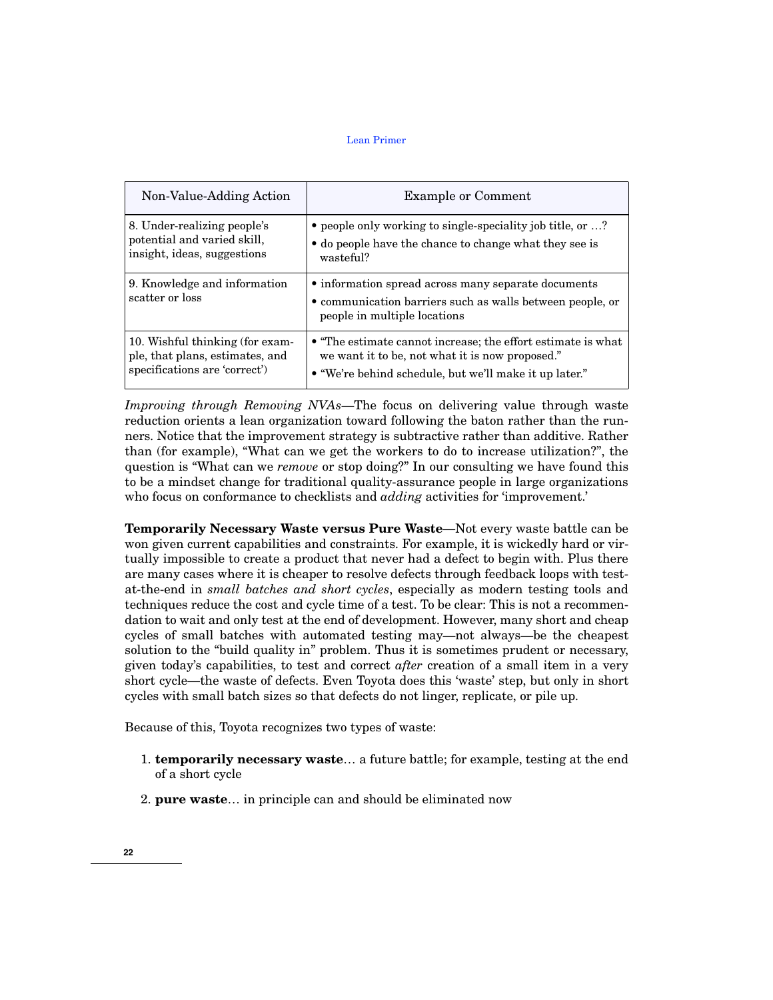| Non-Value-Adding Action                         | <b>Example or Comment</b>                                                                                                                        |
|-------------------------------------------------|--------------------------------------------------------------------------------------------------------------------------------------------------|
| 8. Under-realizing people's                     | • people only working to single-speciality job title, or ?                                                                                       |
| potential and varied skill,                     | • do people have the chance to change what they see is                                                                                           |
| insight, ideas, suggestions                     | wasteful?                                                                                                                                        |
| 9. Knowledge and information<br>scatter or loss | • information spread across many separate documents<br>• communication barriers such as walls between people, or<br>people in multiple locations |
| 10. Wishful thinking (for exam-                 | • "The estimate cannot increase; the effort estimate is what                                                                                     |
| ple, that plans, estimates, and                 | we want it to be, not what it is now proposed."                                                                                                  |
| specifications are 'correct')                   | • "We're behind schedule, but we'll make it up later."                                                                                           |

*Improving through Removing NVAs*—The focus on delivering value through waste reduction orients a lean organization toward following the baton rather than the runners. Notice that the improvement strategy is subtractive rather than additive. Rather than (for example), "What can we get the workers to do to increase utilization?", the question is "What can we *remove* or stop doing?" In our consulting we have found this to be a mindset change for traditional quality-assurance people in large organizations who focus on conformance to checklists and *adding* activities for 'improvement.'

**Temporarily Necessary Waste versus Pure Waste**—Not every waste battle can be won given current capabilities and constraints. For example, it is wickedly hard or virtually impossible to create a product that never had a defect to begin with. Plus there are many cases where it is cheaper to resolve defects through feedback loops with testat-the-end in *small batches and short cycles*, especially as modern testing tools and techniques reduce the cost and cycle time of a test. To be clear: This is not a recommendation to wait and only test at the end of development. However, many short and cheap cycles of small batches with automated testing may—not always—be the cheapest solution to the "build quality in" problem. Thus it is sometimes prudent or necessary, given today's capabilities, to test and correct *after* creation of a small item in a very short cycle—the waste of defects. Even Toyota does this 'waste' step, but only in short cycles with small batch sizes so that defects do not linger, replicate, or pile up.

Because of this, Toyota recognizes two types of waste:

- 1. **temporarily necessary waste**… a future battle; for example, testing at the end of a short cycle
- 2. **pure waste**… in principle can and should be eliminated now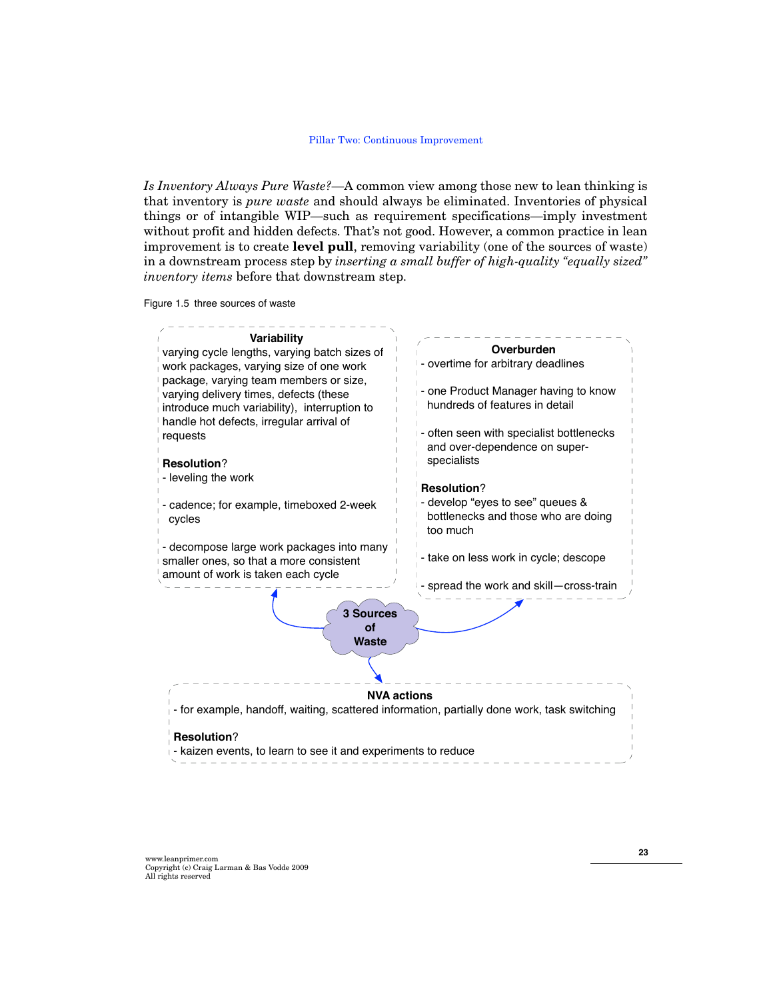#### Pillar Two: Continuous Improvement

*Is Inventory Always Pure Waste?*—A common view among those new to lean thinking is that inventory is *pure waste* and should always be eliminated. Inventories of physical things or of intangible WIP—such as requirement specifications—imply investment without profit and hidden defects. That's not good. However, a common practice in lean improvement is to create **level pull**, removing variability (one of the sources of waste) in a downstream process step by *inserting a small buffer of high-quality "equally sized" inventory items* before that downstream step.

Figure 1.5 three sources of waste



www.leanprimer.com Copyright (c) Craig Larman & Bas Vodde 2009 All rights reserved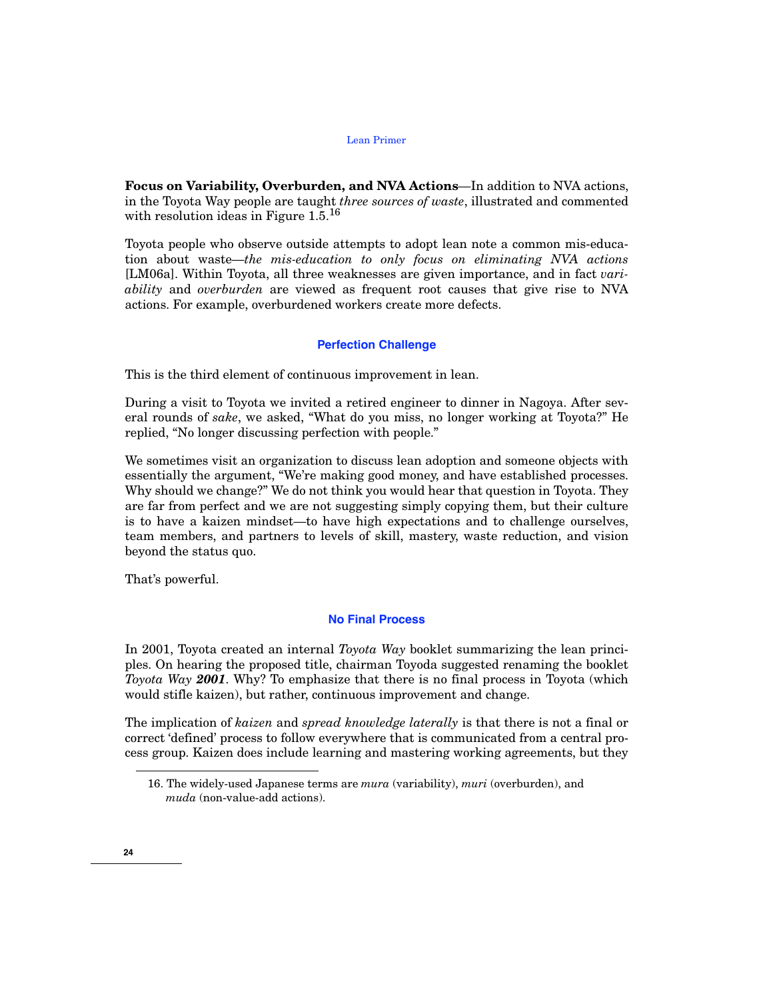**Focus on Variability, Overburden, and NVA Actions**—In addition to NVA actions, in the Toyota Way people are taught *three sources of waste*, illustrated and commented with resolution ideas in Figure 1.5.<sup>16</sup>

Toyota people who observe outside attempts to adopt lean note a common mis-education about waste—*the mis-education to only focus on eliminating NVA actions* [LM06a]. Within Toyota, all three weaknesses are given importance, and in fact *variability* and *overburden* are viewed as frequent root causes that give rise to NVA actions. For example, overburdened workers create more defects.

# **Perfection Challenge**

This is the third element of continuous improvement in lean.

During a visit to Toyota we invited a retired engineer to dinner in Nagoya. After several rounds of *sake*, we asked, "What do you miss, no longer working at Toyota?" He replied, "No longer discussing perfection with people."

We sometimes visit an organization to discuss lean adoption and someone objects with essentially the argument, "We're making good money, and have established processes. Why should we change?" We do not think you would hear that question in Toyota. They are far from perfect and we are not suggesting simply copying them, but their culture is to have a kaizen mindset—to have high expectations and to challenge ourselves, team members, and partners to levels of skill, mastery, waste reduction, and vision beyond the status quo.

That's powerful.

# **No Final Process**

In 2001, Toyota created an internal *Toyota Way* booklet summarizing the lean principles. On hearing the proposed title, chairman Toyoda suggested renaming the booklet *Toyota Way 2001*. Why? To emphasize that there is no final process in Toyota (which would stifle kaizen), but rather, continuous improvement and change.

The implication of *kaizen* and *spread knowledge laterally* is that there is not a final or correct 'defined' process to follow everywhere that is communicated from a central process group. Kaizen does include learning and mastering working agreements, but they

**24**

<sup>16.</sup> The widely-used Japanese terms are *mura* (variability), *muri* (overburden), and *muda* (non-value-add actions).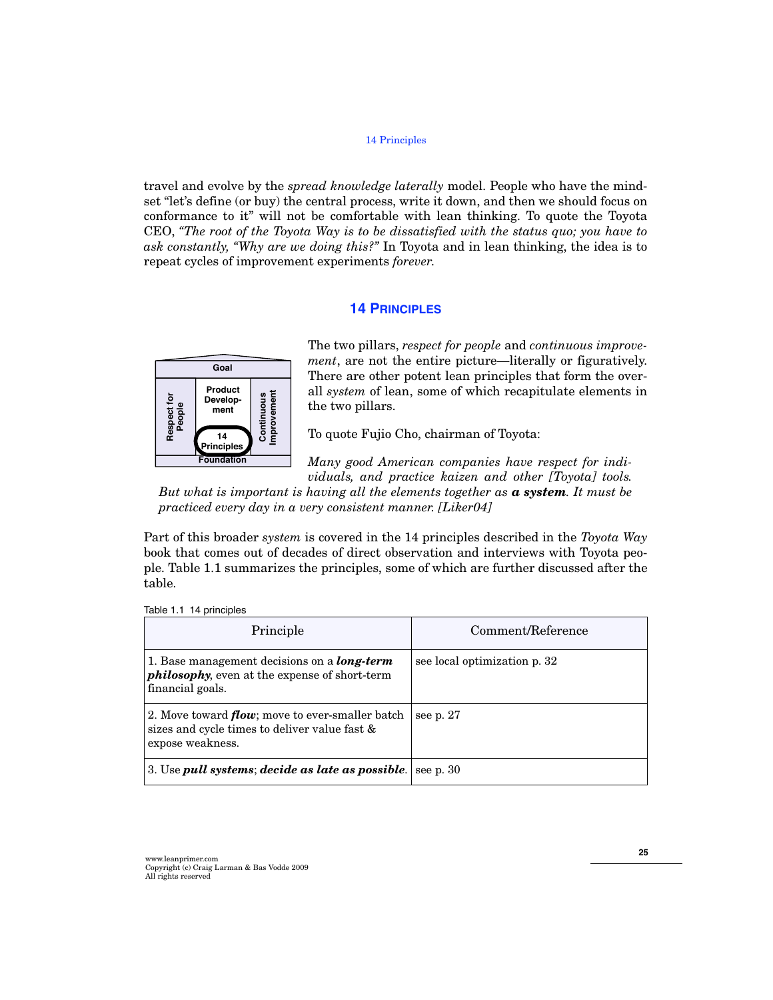### 14 Principles

travel and evolve by the *spread knowledge laterally* model. People who have the mindset "let's define (or buy) the central process, write it down, and then we should focus on conformance to it" will not be comfortable with lean thinking. To quote the Toyota CEO, *"The root of the Toyota Way is to be dissatisfied with the status quo; you have to ask constantly, "Why are we doing this?"* In Toyota and in lean thinking, the idea is to repeat cycles of improvement experiments *forever*.

# **14 PRINCIPLES**



The two pillars, *respect for people* and *continuous improvement*, are not the entire picture—literally or figuratively. There are other potent lean principles that form the overall *system* of lean, some of which recapitulate elements in the two pillars.

To quote Fujio Cho, chairman of Toyota:

*Many good American companies have respect for individuals, and practice kaizen and other [Toyota] tools.*

*But what is important is having all the elements together as a system. It must be practiced every day in a very consistent manner. [Liker04]*

Part of this broader *system* is covered in the 14 principles described in the *Toyota Way* book that comes out of decades of direct observation and interviews with Toyota people. Table 1.1 summarizes the principles, some of which are further discussed after the table.

| Principle                                                                                                                       | Comment/Reference            |
|---------------------------------------------------------------------------------------------------------------------------------|------------------------------|
| 1. Base management decisions on a <b>long-term</b><br><i>philosophy</i> , even at the expense of short-term<br>financial goals. | see local optimization p. 32 |
| 2. Move toward <i>flow</i> ; move to ever-smaller batch<br>sizes and cycle times to deliver value fast &<br>expose weakness.    | see p. $27$                  |
| 3. Use pull systems; decide as late as possible.                                                                                | see $p.30$                   |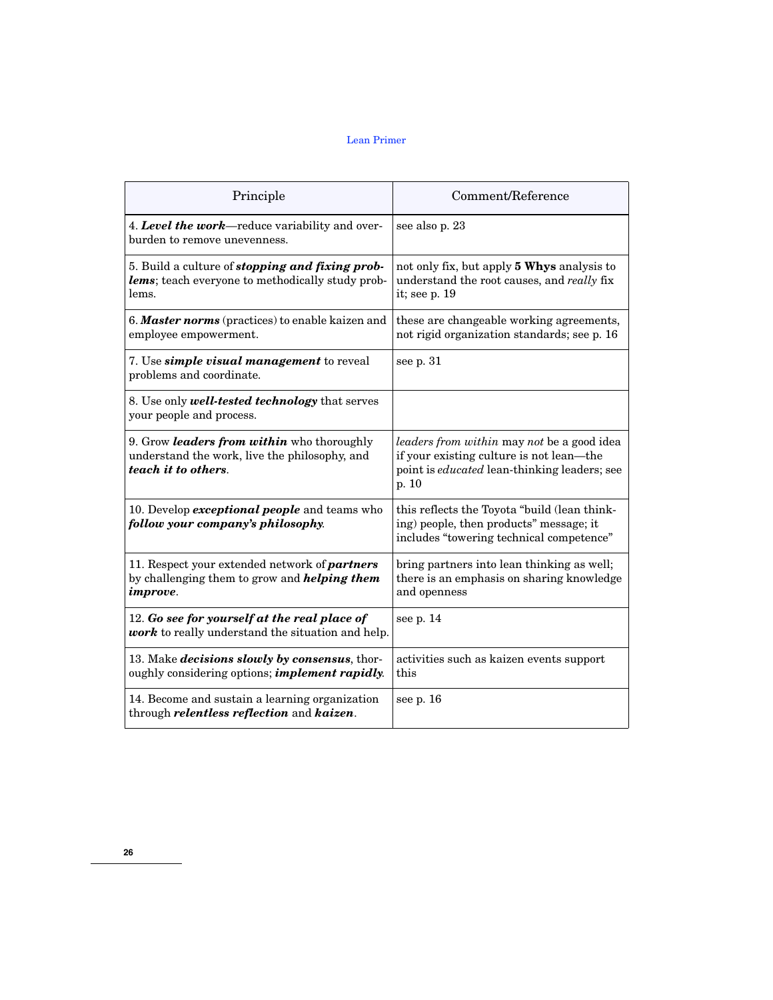| Principle                                                                                                                      | Comment/Reference                                                                                                                                      |
|--------------------------------------------------------------------------------------------------------------------------------|--------------------------------------------------------------------------------------------------------------------------------------------------------|
| 4. Level the work—reduce variability and over-<br>burden to remove unevenness.                                                 | see also p. 23                                                                                                                                         |
| 5. Build a culture of <i>stopping and fixing prob-</i><br>lems; teach everyone to methodically study prob-<br>lems.            | not only fix, but apply 5 Whys analysis to<br>understand the root causes, and really fix<br>it; see p. 19                                              |
| 6. Master norms (practices) to enable kaizen and<br>employee empowerment.                                                      | these are changeable working agreements,<br>not rigid organization standards; see p. 16                                                                |
| 7. Use <i>simple visual management</i> to reveal<br>problems and coordinate.                                                   | see $p.31$                                                                                                                                             |
| 8. Use only <i>well-tested technology</i> that serves<br>your people and process.                                              |                                                                                                                                                        |
| 9. Grow leaders from within who thoroughly<br>understand the work, live the philosophy, and<br><i>teach it to others.</i>      | leaders from within may not be a good idea<br>if your existing culture is not lean—the<br>point is <i>educated</i> lean-thinking leaders; see<br>p. 10 |
| 10. Develop <i>exceptional people</i> and teams who<br>follow your company's philosophy.                                       | this reflects the Toyota "build (lean think-<br>ing) people, then products" message; it<br>includes "towering technical competence"                    |
| 11. Respect your extended network of <i>partners</i><br>by challenging them to grow and <b>helping them</b><br><i>improve.</i> | bring partners into lean thinking as well;<br>there is an emphasis on sharing knowledge<br>and openness                                                |
| 12. Go see for yourself at the real place of<br>work to really understand the situation and help.                              | see p. 14                                                                                                                                              |
| 13. Make <i>decisions slowly by consensus</i> , thor-<br>oughly considering options; <i>implement rapidly</i> .                | activities such as kaizen events support<br>this                                                                                                       |
| 14. Become and sustain a learning organization<br>through relentless reflection and kaizen.                                    | see p. 16                                                                                                                                              |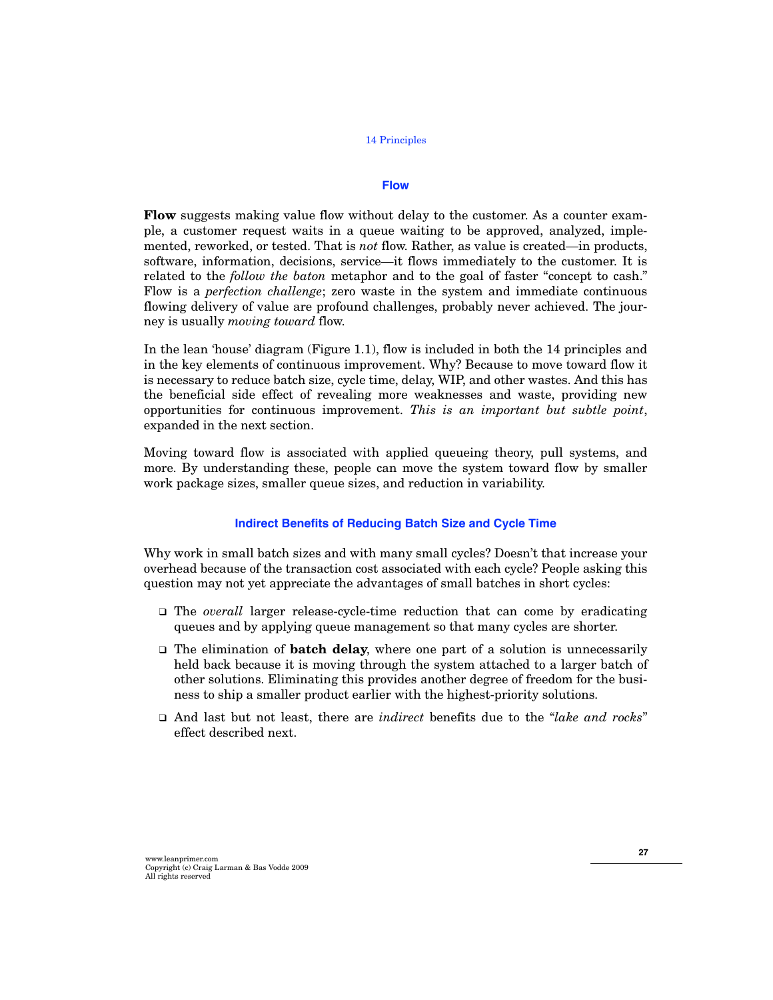## 14 Principles

#### **Flow**

**Flow** suggests making value flow without delay to the customer. As a counter example, a customer request waits in a queue waiting to be approved, analyzed, implemented, reworked, or tested. That is *not* flow. Rather, as value is created—in products, software, information, decisions, service—it flows immediately to the customer. It is related to the *follow the baton* metaphor and to the goal of faster "concept to cash." Flow is a *perfection challenge*; zero waste in the system and immediate continuous flowing delivery of value are profound challenges, probably never achieved. The journey is usually *moving toward* flow.

In the lean 'house' diagram (Figure 1.1), flow is included in both the 14 principles and in the key elements of continuous improvement. Why? Because to move toward flow it is necessary to reduce batch size, cycle time, delay, WIP, and other wastes. And this has the beneficial side effect of revealing more weaknesses and waste, providing new opportunities for continuous improvement. *This is an important but subtle point*, expanded in the next section.

Moving toward flow is associated with applied queueing theory, pull systems, and more. By understanding these, people can move the system toward flow by smaller work package sizes, smaller queue sizes, and reduction in variability.

### **Indirect Benefits of Reducing Batch Size and Cycle Time**

Why work in small batch sizes and with many small cycles? Doesn't that increase your overhead because of the transaction cost associated with each cycle? People asking this question may not yet appreciate the advantages of small batches in short cycles:

- ❑ The *overall* larger release-cycle-time reduction that can come by eradicating queues and by applying queue management so that many cycles are shorter.
- ❑ The elimination of **batch delay**, where one part of a solution is unnecessarily held back because it is moving through the system attached to a larger batch of other solutions. Eliminating this provides another degree of freedom for the business to ship a smaller product earlier with the highest-priority solutions.
- ❑ And last but not least, there are *indirect* benefits due to the "*lake and rocks*" effect described next.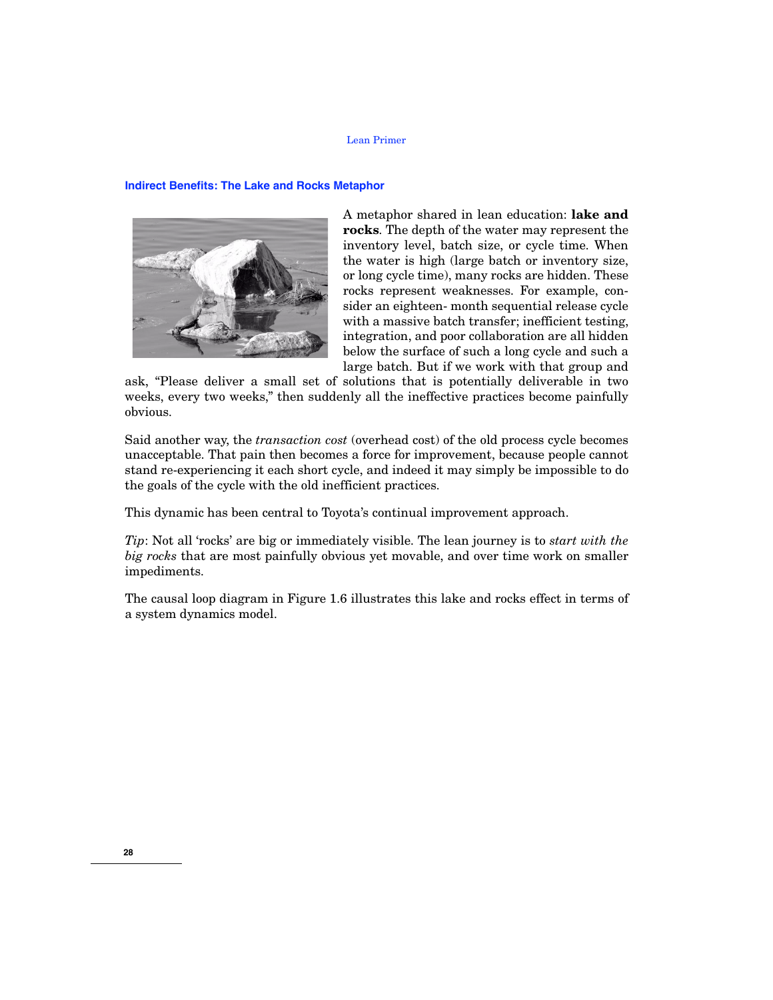### **Indirect Benefits: The Lake and Rocks Metaphor**



A metaphor shared in lean education: **lake and rocks**. The depth of the water may represent the inventory level, batch size, or cycle time. When the water is high (large batch or inventory size, or long cycle time), many rocks are hidden. These rocks represent weaknesses. For example, consider an eighteen- month sequential release cycle with a massive batch transfer; inefficient testing, integration, and poor collaboration are all hidden below the surface of such a long cycle and such a large batch. But if we work with that group and

ask, "Please deliver a small set of solutions that is potentially deliverable in two weeks, every two weeks," then suddenly all the ineffective practices become painfully obvious.

Said another way, the *transaction cost* (overhead cost) of the old process cycle becomes unacceptable. That pain then becomes a force for improvement, because people cannot stand re-experiencing it each short cycle, and indeed it may simply be impossible to do the goals of the cycle with the old inefficient practices.

This dynamic has been central to Toyota's continual improvement approach.

*Tip*: Not all 'rocks' are big or immediately visible. The lean journey is to *start with the big rocks* that are most painfully obvious yet movable, and over time work on smaller impediments.

The causal loop diagram in Figure 1.6 illustrates this lake and rocks effect in terms of a system dynamics model.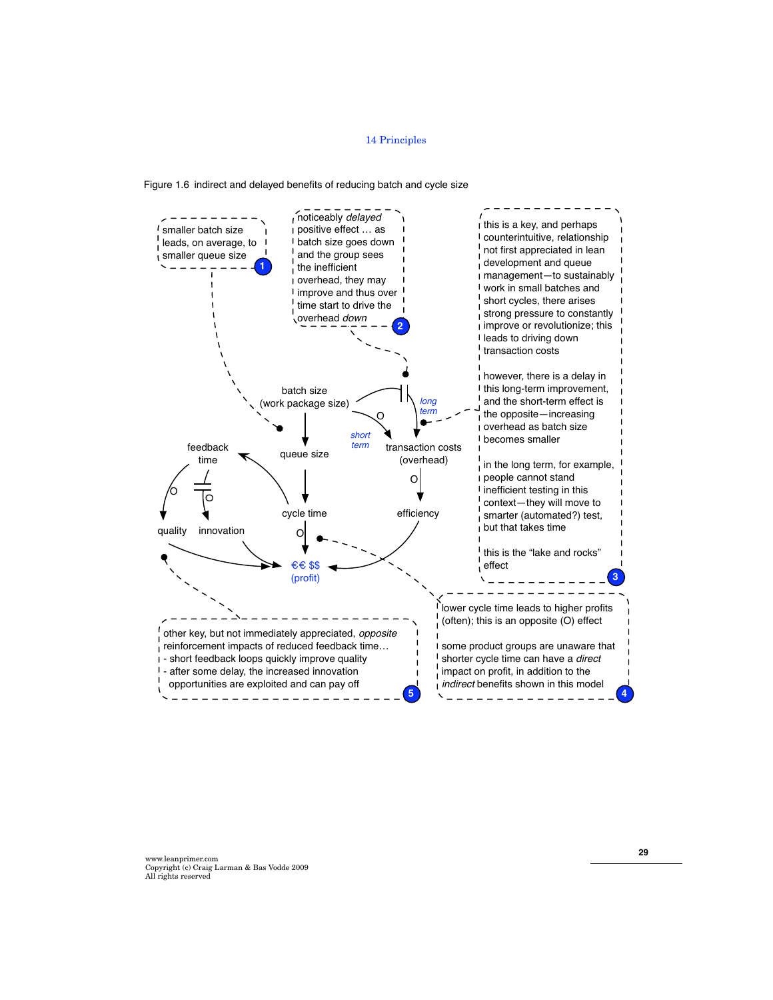### 14 Principles





www.leanprimer.com Copyright (c) Craig Larman & Bas Vodde 2009 All rights reserved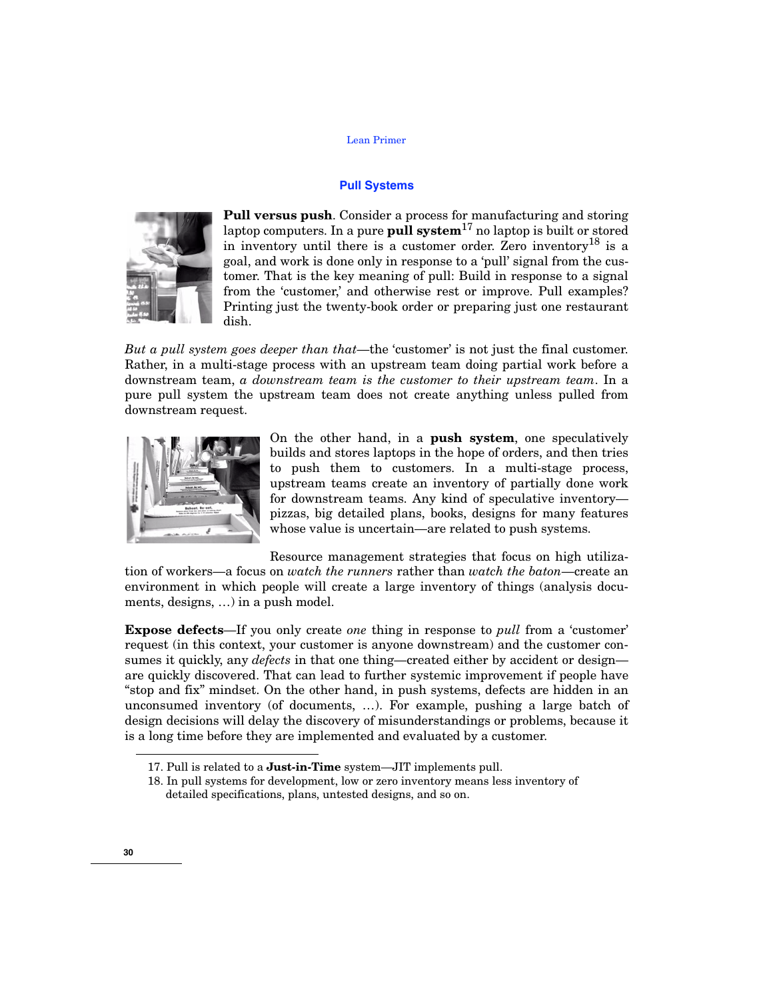### **Pull Systems**



**Pull versus push**. Consider a process for manufacturing and storing laptop computers. In a pure **pull system**17 no laptop is built or stored in inventory until there is a customer order. Zero inventory<sup>18</sup> is a goal, and work is done only in response to a 'pull' signal from the customer. That is the key meaning of pull: Build in response to a signal from the 'customer,' and otherwise rest or improve. Pull examples? Printing just the twenty-book order or preparing just one restaurant dish.

*But a pull system goes deeper than that*—the 'customer' is not just the final customer. Rather, in a multi-stage process with an upstream team doing partial work before a downstream team, *a downstream team is the customer to their upstream team*. In a pure pull system the upstream team does not create anything unless pulled from downstream request.



On the other hand, in a **push system**, one speculatively builds and stores laptops in the hope of orders, and then tries to push them to customers. In a multi-stage process, upstream teams create an inventory of partially done work for downstream teams. Any kind of speculative inventory pizzas, big detailed plans, books, designs for many features whose value is uncertain—are related to push systems.

Resource management strategies that focus on high utilization of workers—a focus on *watch the runners* rather than *watch the baton*—create an environment in which people will create a large inventory of things (analysis documents, designs, …) in a push model.

**Expose defects**—If you only create *one* thing in response to *pull* from a 'customer' request (in this context, your customer is anyone downstream) and the customer consumes it quickly, any *defects* in that one thing—created either by accident or design are quickly discovered. That can lead to further systemic improvement if people have "stop and fix" mindset. On the other hand, in push systems, defects are hidden in an unconsumed inventory (of documents, …). For example, pushing a large batch of design decisions will delay the discovery of misunderstandings or problems, because it is a long time before they are implemented and evaluated by a customer.

<sup>17.</sup> Pull is related to a **Just-in-Time** system—JIT implements pull.

<sup>18.</sup> In pull systems for development, low or zero inventory means less inventory of detailed specifications, plans, untested designs, and so on.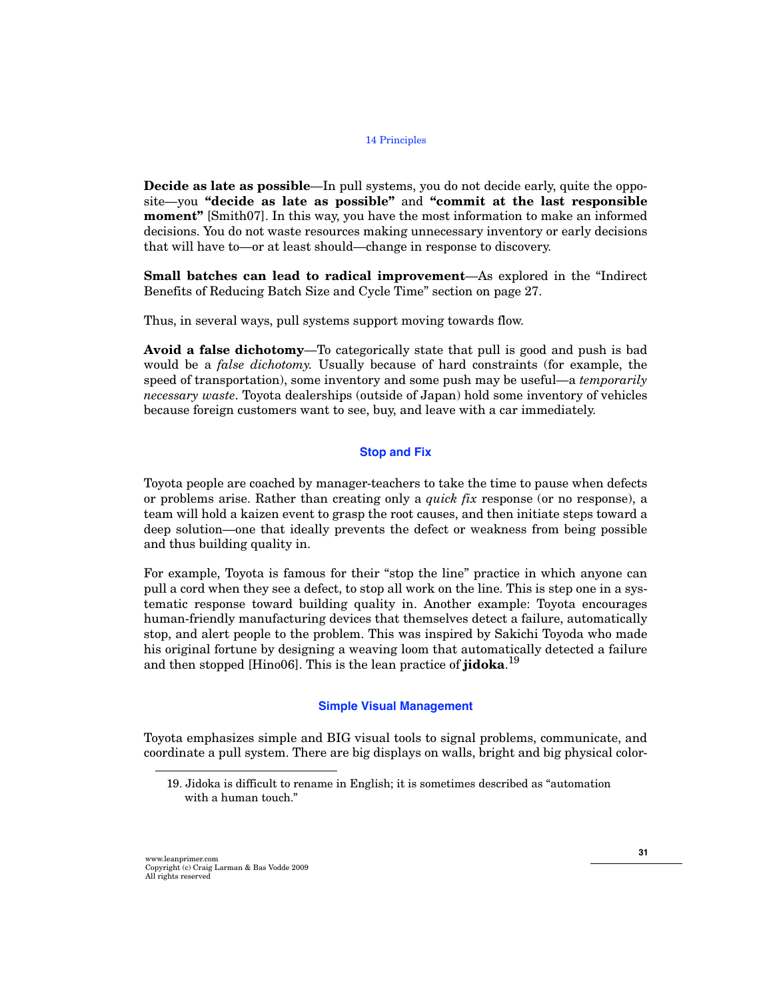### 14 Principles

**Decide as late as possible**—In pull systems, you do not decide early, quite the opposite—you **"decide as late as possible"** and **"commit at the last responsible moment"** [Smith07]. In this way, you have the most information to make an informed decisions. You do not waste resources making unnecessary inventory or early decisions that will have to—or at least should—change in response to discovery.

**Small batches can lead to radical improvement**—As explored in the "Indirect Benefits of Reducing Batch Size and Cycle Time" section on page 27.

Thus, in several ways, pull systems support moving towards flow.

**Avoid a false dichotomy**—To categorically state that pull is good and push is bad would be a *false dichotomy.* Usually because of hard constraints (for example, the speed of transportation), some inventory and some push may be useful—a *temporarily necessary waste*. Toyota dealerships (outside of Japan) hold some inventory of vehicles because foreign customers want to see, buy, and leave with a car immediately.

# **Stop and Fix**

Toyota people are coached by manager-teachers to take the time to pause when defects or problems arise. Rather than creating only a *quick fix* response (or no response), a team will hold a kaizen event to grasp the root causes, and then initiate steps toward a deep solution—one that ideally prevents the defect or weakness from being possible and thus building quality in.

For example, Toyota is famous for their "stop the line" practice in which anyone can pull a cord when they see a defect, to stop all work on the line. This is step one in a systematic response toward building quality in. Another example: Toyota encourages human-friendly manufacturing devices that themselves detect a failure, automatically stop, and alert people to the problem. This was inspired by Sakichi Toyoda who made his original fortune by designing a weaving loom that automatically detected a failure and then stopped [Hino06]. This is the lean practice of **jidoka**. 19

# **Simple Visual Management**

Toyota emphasizes simple and BIG visual tools to signal problems, communicate, and coordinate a pull system. There are big displays on walls, bright and big physical color-

<sup>19.</sup> Jidoka is difficult to rename in English; it is sometimes described as "automation with a human touch."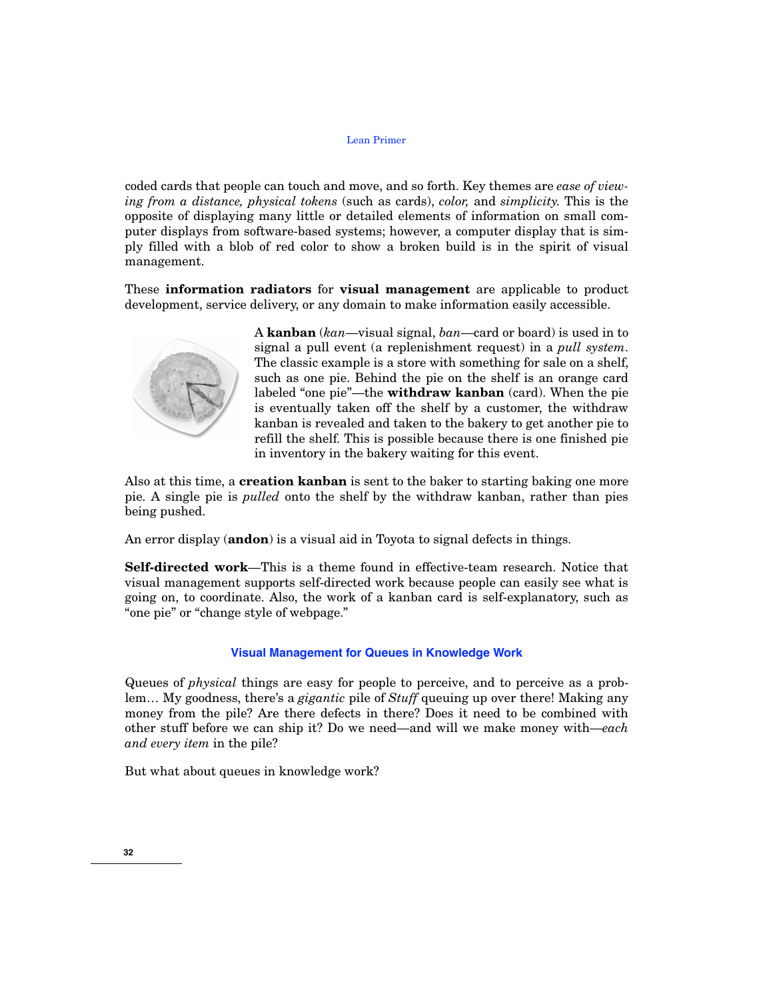coded cards that people can touch and move, and so forth. Key themes are *ease of viewing from a distance, physical tokens* (such as cards), *color,* and *simplicity*. This is the opposite of displaying many little or detailed elements of information on small computer displays from software-based systems; however, a computer display that is simply filled with a blob of red color to show a broken build is in the spirit of visual management.

These **information radiators** for **visual management** are applicable to product development, service delivery, or any domain to make information easily accessible.



A **kanban** (*kan*—visual signal, *ban*—card or board) is used in to signal a pull event (a replenishment request) in a *pull system*. The classic example is a store with something for sale on a shelf, such as one pie. Behind the pie on the shelf is an orange card labeled "one pie"—the **withdraw kanban** (card). When the pie is eventually taken off the shelf by a customer, the withdraw kanban is revealed and taken to the bakery to get another pie to refill the shelf. This is possible because there is one finished pie in inventory in the bakery waiting for this event.

Also at this time, a **creation kanban** is sent to the baker to starting baking one more pie. A single pie is *pulled* onto the shelf by the withdraw kanban, rather than pies being pushed.

An error display (**andon**) is a visual aid in Toyota to signal defects in things.

**Self-directed work**—This is a theme found in effective-team research. Notice that visual management supports self-directed work because people can easily see what is going on, to coordinate. Also, the work of a kanban card is self-explanatory, such as "one pie" or "change style of webpage."

# **Visual Management for Queues in Knowledge Work**

Queues of *physical* things are easy for people to perceive, and to perceive as a problem… My goodness, there's a *gigantic* pile of *Stuff* queuing up over there! Making any money from the pile? Are there defects in there? Does it need to be combined with other stuff before we can ship it? Do we need—and will we make money with—*each and every item* in the pile?

But what about queues in knowledge work?

**32**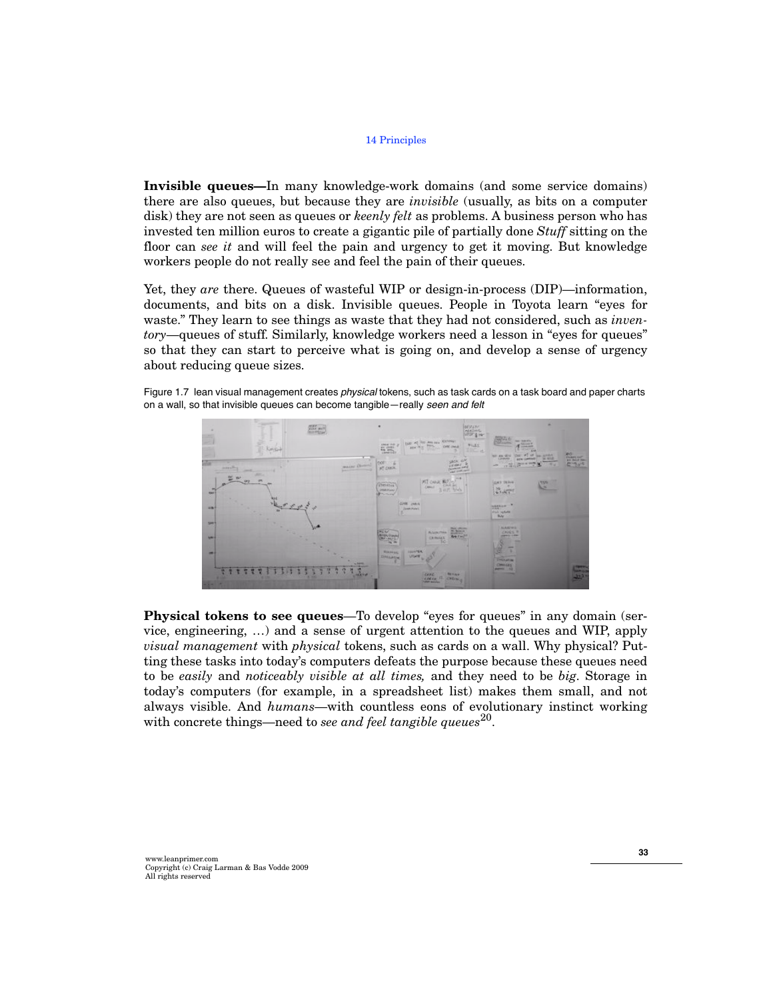### 14 Principles

**Invisible queues—**In many knowledge-work domains (and some service domains) there are also queues, but because they are *invisible* (usually, as bits on a computer disk) they are not seen as queues or *keenly felt* as problems. A business person who has invested ten million euros to create a gigantic pile of partially done *Stuff* sitting on the floor can *see it* and will feel the pain and urgency to get it moving. But knowledge workers people do not really see and feel the pain of their queues.

Yet, they *are* there. Queues of wasteful WIP or design-in-process (DIP)—information, documents, and bits on a disk. Invisible queues. People in Toyota learn "eyes for waste." They learn to see things as waste that they had not considered, such as *inventory*—queues of stuff. Similarly, knowledge workers need a lesson in "eyes for queues" so that they can start to perceive what is going on, and develop a sense of urgency about reducing queue sizes.

Figure 1.7 lean visual management creates *physical* tokens, such as task cards on a task board and paper charts on a wall, so that invisible queues can become tangible—really *seen and felt* 



**Physical tokens to see queues—To develop "eyes for queues" in any domain (ser**vice, engineering, …) and a sense of urgent attention to the queues and WIP, apply *visual management* with *physical* tokens, such as cards on a wall. Why physical? Putting these tasks into today's computers defeats the purpose because these queues need to be *easily* and *noticeably visible at all times,* and they need to be *big*. Storage in today's computers (for example, in a spreadsheet list) makes them small, and not always visible. And *humans*—with countless eons of evolutionary instinct working with concrete things—need to *see and feel tangible queues*<sup>20</sup>.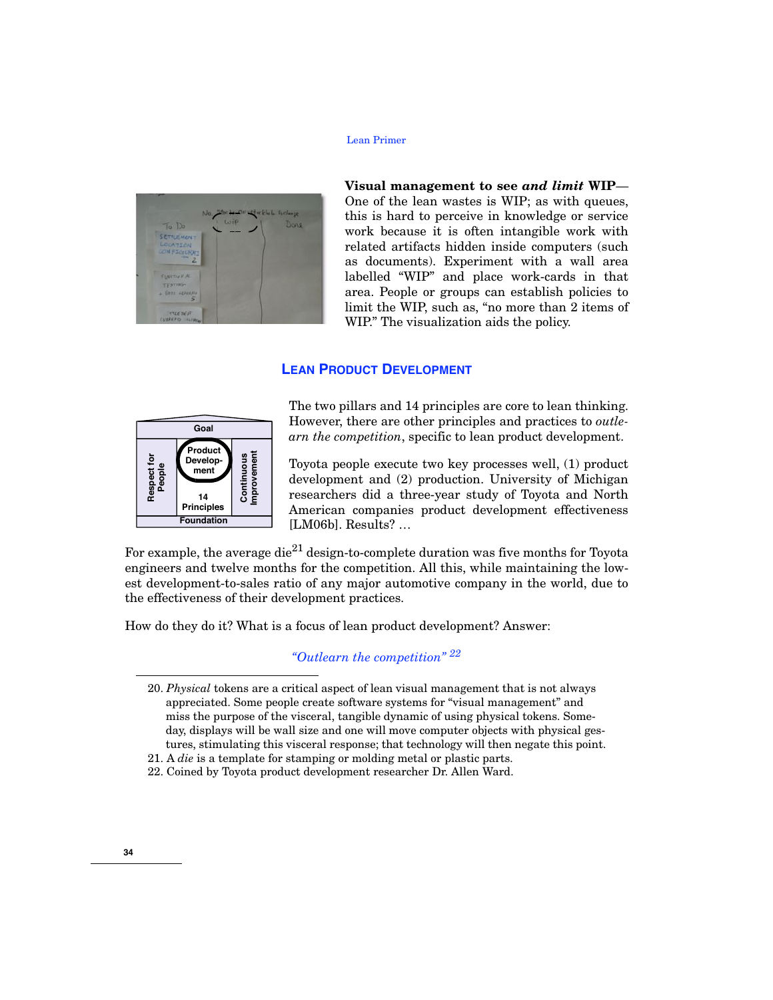

**Visual management to see** *and limit* **WIP**— One of the lean wastes is WIP; as with queues, this is hard to perceive in knowledge or service work because it is often intangible work with related artifacts hidden inside computers (such as documents). Experiment with a wall area labelled "WIP" and place work-cards in that area. People or groups can establish policies to limit the WIP, such as, "no more than 2 items of WIP." The visualization aids the policy.

# **LEAN PRODUCT DEVELOPMENT**



The two pillars and 14 principles are core to lean thinking. However, there are other principles and practices to *outlearn the competition*, specific to lean product development.

Toyota people execute two key processes well, (1) product development and (2) production. University of Michigan researchers did a three-year study of Toyota and North American companies product development effectiveness [LM06b]. Results? …

For example, the average die<sup>21</sup> design-to-complete duration was five months for Toyota engineers and twelve months for the competition. All this, while maintaining the lowest development-to-sales ratio of any major automotive company in the world, due to the effectiveness of their development practices.

How do they do it? What is a focus of lean product development? Answer:

*"Outlearn the competition" <sup>22</sup>*

<sup>20.</sup> *Physical* tokens are a critical aspect of lean visual management that is not always appreciated. Some people create software systems for "visual management" and miss the purpose of the visceral, tangible dynamic of using physical tokens. Someday, displays will be wall size and one will move computer objects with physical gestures, stimulating this visceral response; that technology will then negate this point.

<sup>21.</sup> A *die* is a template for stamping or molding metal or plastic parts.

<sup>22.</sup> Coined by Toyota product development researcher Dr. Allen Ward.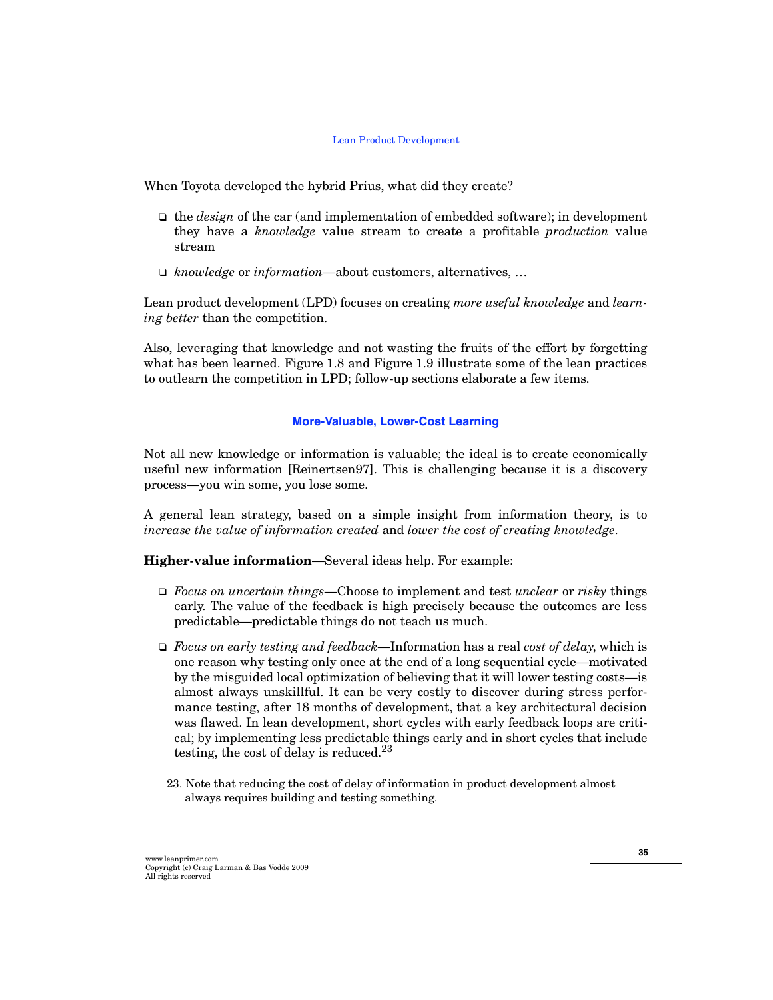### Lean Product Development

When Toyota developed the hybrid Prius, what did they create?

- ❑ the *design* of the car (and implementation of embedded software); in development they have a *knowledge* value stream to create a profitable *production* value stream
- ❑ *knowledge* or *information*—about customers, alternatives, …

Lean product development (LPD) focuses on creating *more useful knowledge* and *learning better* than the competition.

Also, leveraging that knowledge and not wasting the fruits of the effort by forgetting what has been learned. Figure 1.8 and Figure 1.9 illustrate some of the lean practices to outlearn the competition in LPD; follow-up sections elaborate a few items.

# **More-Valuable, Lower-Cost Learning**

Not all new knowledge or information is valuable; the ideal is to create economically useful new information [Reinertsen97]. This is challenging because it is a discovery process—you win some, you lose some.

A general lean strategy, based on a simple insight from information theory, is to *increase the value of information created* and *lower the cost of creating knowledge*.

**Higher-value information**—Several ideas help. For example:

- ❑ *Focus on uncertain things*—Choose to implement and test *unclear* or *risky* things early. The value of the feedback is high precisely because the outcomes are less predictable—predictable things do not teach us much.
- ❑ *Focus on early testing and feedback*—Information has a real *cost of delay*, which is one reason why testing only once at the end of a long sequential cycle—motivated by the misguided local optimization of believing that it will lower testing costs—is almost always unskillful. It can be very costly to discover during stress performance testing, after 18 months of development, that a key architectural decision was flawed. In lean development, short cycles with early feedback loops are critical; by implementing less predictable things early and in short cycles that include testing, the cost of delay is reduced.<sup>23</sup>

<sup>23.</sup> Note that reducing the cost of delay of information in product development almost always requires building and testing something.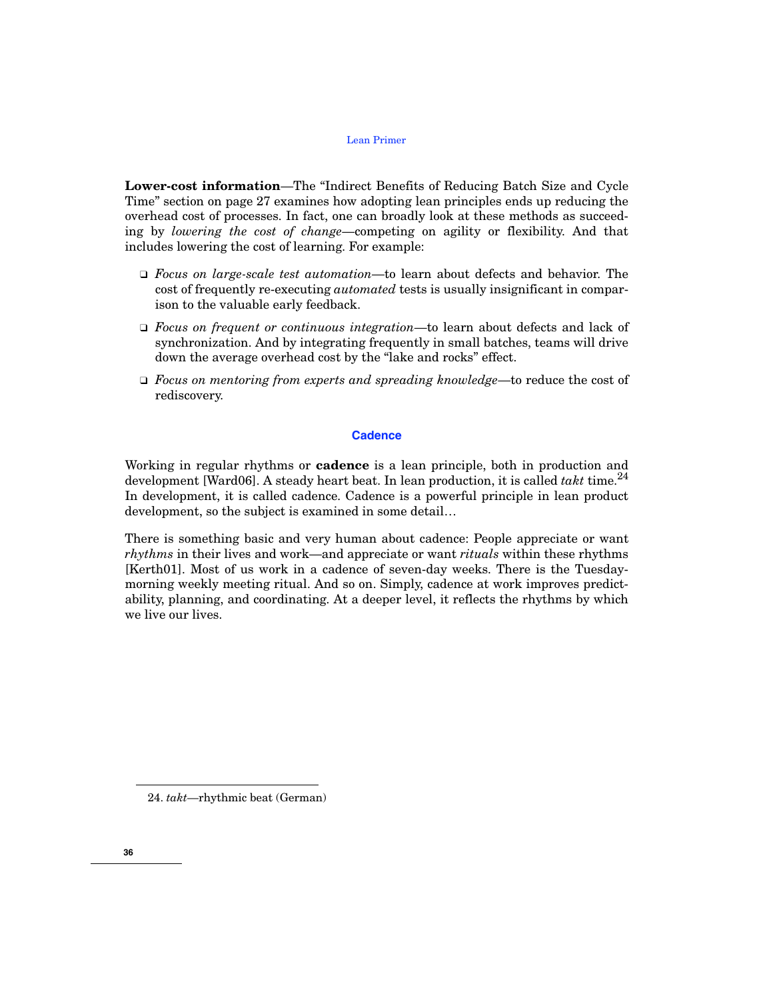**Lower-cost information**—The "Indirect Benefits of Reducing Batch Size and Cycle Time" section on page 27 examines how adopting lean principles ends up reducing the overhead cost of processes. In fact, one can broadly look at these methods as succeeding by *lowering the cost of change*—competing on agility or flexibility. And that includes lowering the cost of learning. For example:

- ❑ *Focus on large-scale test automation*—to learn about defects and behavior. The cost of frequently re-executing *automated* tests is usually insignificant in comparison to the valuable early feedback.
- ❑ *Focus on frequent or continuous integration*—to learn about defects and lack of synchronization. And by integrating frequently in small batches, teams will drive down the average overhead cost by the "lake and rocks" effect.
- ❑ *Focus on mentoring from experts and spreading knowledge*—to reduce the cost of rediscovery.

# **Cadence**

Working in regular rhythms or **cadence** is a lean principle, both in production and development [Ward06]. A steady heart beat. In lean production, it is called *takt* time.<sup>24</sup> In development, it is called cadence. Cadence is a powerful principle in lean product development, so the subject is examined in some detail…

There is something basic and very human about cadence: People appreciate or want *rhythms* in their lives and work—and appreciate or want *rituals* within these rhythms [Kerth01]. Most of us work in a cadence of seven-day weeks. There is the Tuesdaymorning weekly meeting ritual. And so on. Simply, cadence at work improves predictability, planning, and coordinating. At a deeper level, it reflects the rhythms by which we live our lives.

24. *takt*—rhythmic beat (German)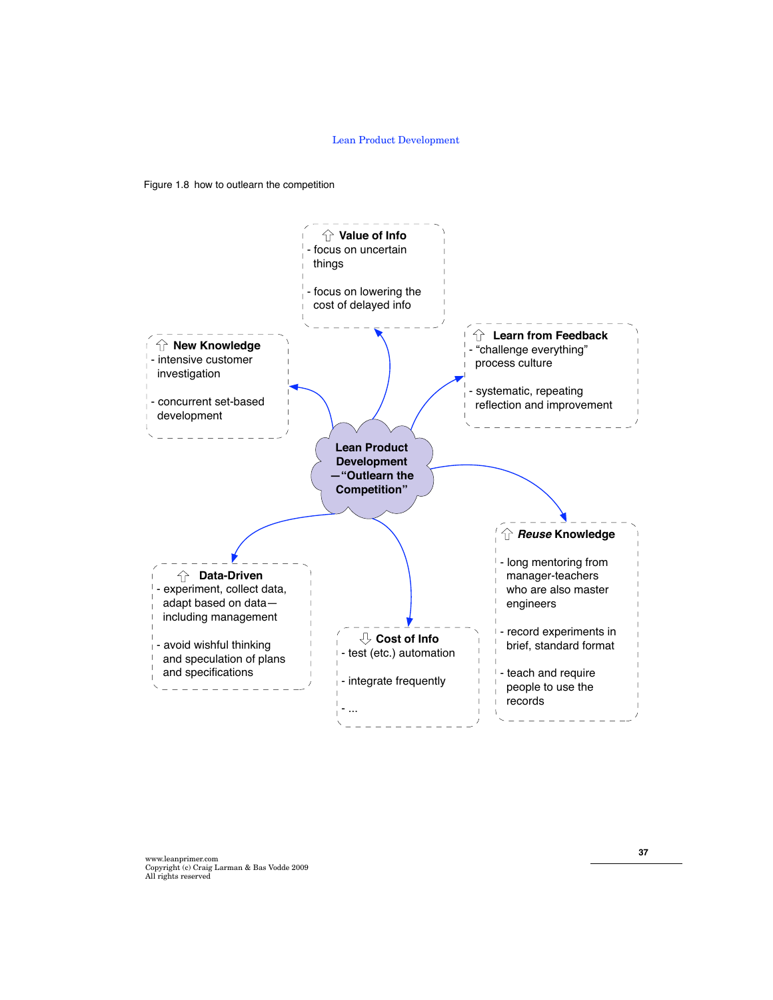### Lean Product Development

### Figure 1.8 how to outlearn the competition



www.leanprimer.com Copyright (c) Craig Larman & Bas Vodde 2009 All rights reserved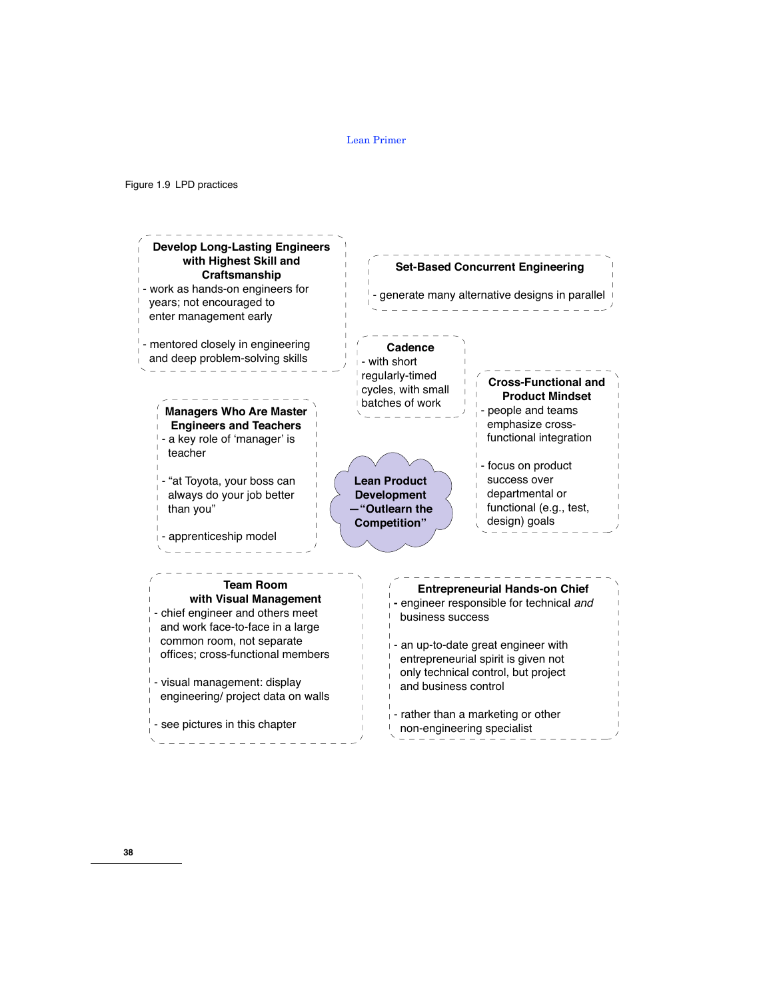### Figure 1.9 LPD practices

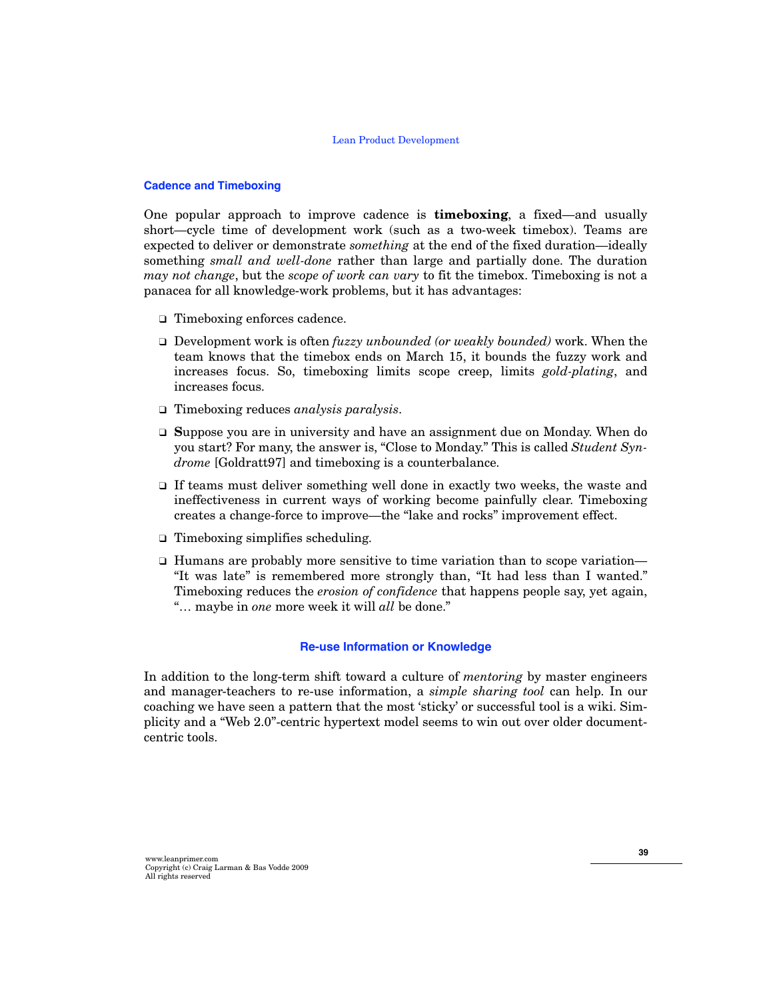### Lean Product Development

### **Cadence and Timeboxing**

One popular approach to improve cadence is **timeboxing**, a fixed—and usually short—cycle time of development work (such as a two-week timebox). Teams are expected to deliver or demonstrate *something* at the end of the fixed duration—ideally something *small and well-done* rather than large and partially done. The duration *may not change*, but the *scope of work can vary* to fit the timebox. Timeboxing is not a panacea for all knowledge-work problems, but it has advantages:

- ❑ Timeboxing enforces cadence.
- ❑ Development work is often *fuzzy unbounded (or weakly bounded)* work. When the team knows that the timebox ends on March 15, it bounds the fuzzy work and increases focus. So, timeboxing limits scope creep, limits *gold-plating*, and increases focus.
- ❑ Timeboxing reduces *analysis paralysis*.
- ❑ **S**uppose you are in university and have an assignment due on Monday. When do you start? For many, the answer is, "Close to Monday." This is called *Student Syndrome* [Goldratt97] and timeboxing is a counterbalance.
- ❑ If teams must deliver something well done in exactly two weeks, the waste and ineffectiveness in current ways of working become painfully clear. Timeboxing creates a change-force to improve—the "lake and rocks" improvement effect.
- ❑ Timeboxing simplifies scheduling.
- ❑ Humans are probably more sensitive to time variation than to scope variation— "It was late" is remembered more strongly than, "It had less than I wanted." Timeboxing reduces the *erosion of confidence* that happens people say, yet again, "… maybe in *one* more week it will *all* be done."

### **Re-use Information or Knowledge**

In addition to the long-term shift toward a culture of *mentoring* by master engineers and manager-teachers to re-use information, a *simple sharing tool* can help. In our coaching we have seen a pattern that the most 'sticky' or successful tool is a wiki. Simplicity and a "Web 2.0"-centric hypertext model seems to win out over older documentcentric tools.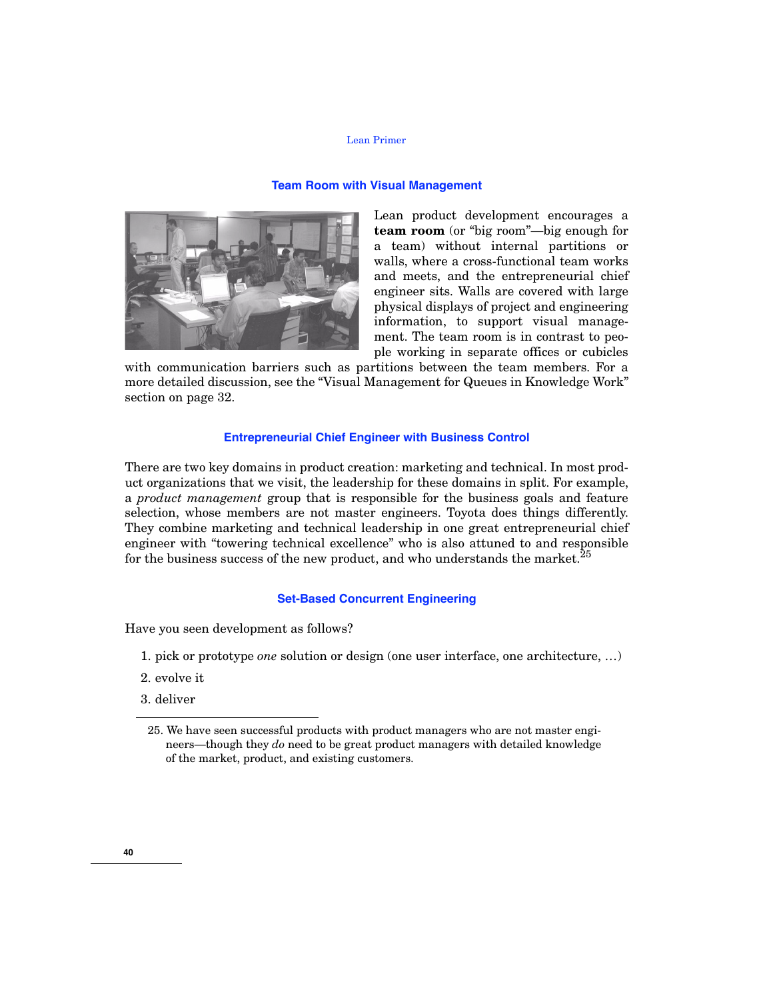### **Team Room with Visual Management**



Lean product development encourages a **team room** (or "big room"—big enough for a team) without internal partitions or walls, where a cross-functional team works and meets, and the entrepreneurial chief engineer sits. Walls are covered with large physical displays of project and engineering information, to support visual management. The team room is in contrast to people working in separate offices or cubicles

with communication barriers such as partitions between the team members. For a more detailed discussion, see the "Visual Management for Queues in Knowledge Work" section on page 32.

# **Entrepreneurial Chief Engineer with Business Control**

There are two key domains in product creation: marketing and technical. In most product organizations that we visit, the leadership for these domains in split. For example, a *product management* group that is responsible for the business goals and feature selection, whose members are not master engineers. Toyota does things differently. They combine marketing and technical leadership in one great entrepreneurial chief engineer with "towering technical excellence" who is also attuned to and responsible for the business success of the new product, and who understands the market.<sup>25</sup>

# **Set-Based Concurrent Engineering**

Have you seen development as follows?

- 1. pick or prototype *one* solution or design (one user interface, one architecture, …)
- 2. evolve it
- 3. deliver

<sup>25.</sup> We have seen successful products with product managers who are not master engineers—though they *do* need to be great product managers with detailed knowledge of the market, product, and existing customers.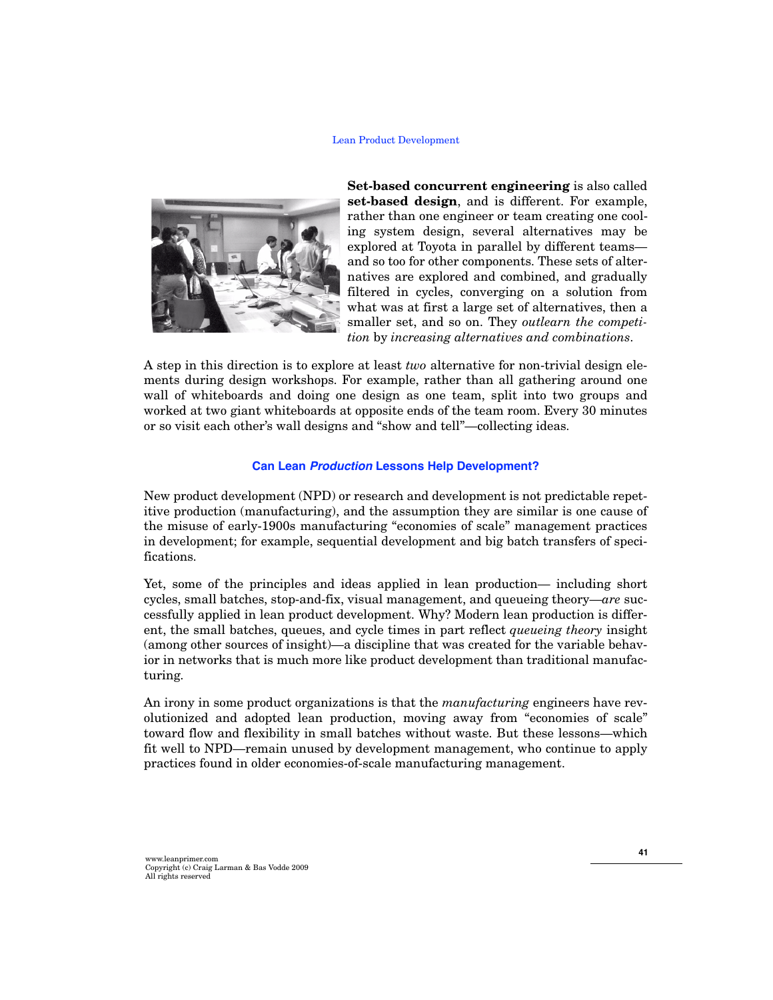### Lean Product Development



**Set-based concurrent engineering** is also called **set-based design**, and is different. For example, rather than one engineer or team creating one cooling system design, several alternatives may be explored at Toyota in parallel by different teams and so too for other components. These sets of alternatives are explored and combined, and gradually filtered in cycles, converging on a solution from what was at first a large set of alternatives, then a smaller set, and so on. They *outlearn the competition* by *increasing alternatives and combinations*.

A step in this direction is to explore at least *two* alternative for non-trivial design elements during design workshops. For example, rather than all gathering around one wall of whiteboards and doing one design as one team, split into two groups and worked at two giant whiteboards at opposite ends of the team room. Every 30 minutes or so visit each other's wall designs and "show and tell"—collecting ideas.

### **Can Lean** *Production* **Lessons Help Development?**

New product development (NPD) or research and development is not predictable repetitive production (manufacturing), and the assumption they are similar is one cause of the misuse of early-1900s manufacturing "economies of scale" management practices in development; for example, sequential development and big batch transfers of specifications.

Yet, some of the principles and ideas applied in lean production— including short cycles, small batches, stop-and-fix, visual management, and queueing theory—*are* successfully applied in lean product development. Why? Modern lean production is different, the small batches, queues, and cycle times in part reflect *queueing theory* insight (among other sources of insight)—a discipline that was created for the variable behavior in networks that is much more like product development than traditional manufacturing.

An irony in some product organizations is that the *manufacturing* engineers have revolutionized and adopted lean production, moving away from "economies of scale" toward flow and flexibility in small batches without waste. But these lessons—which fit well to NPD—remain unused by development management, who continue to apply practices found in older economies-of-scale manufacturing management.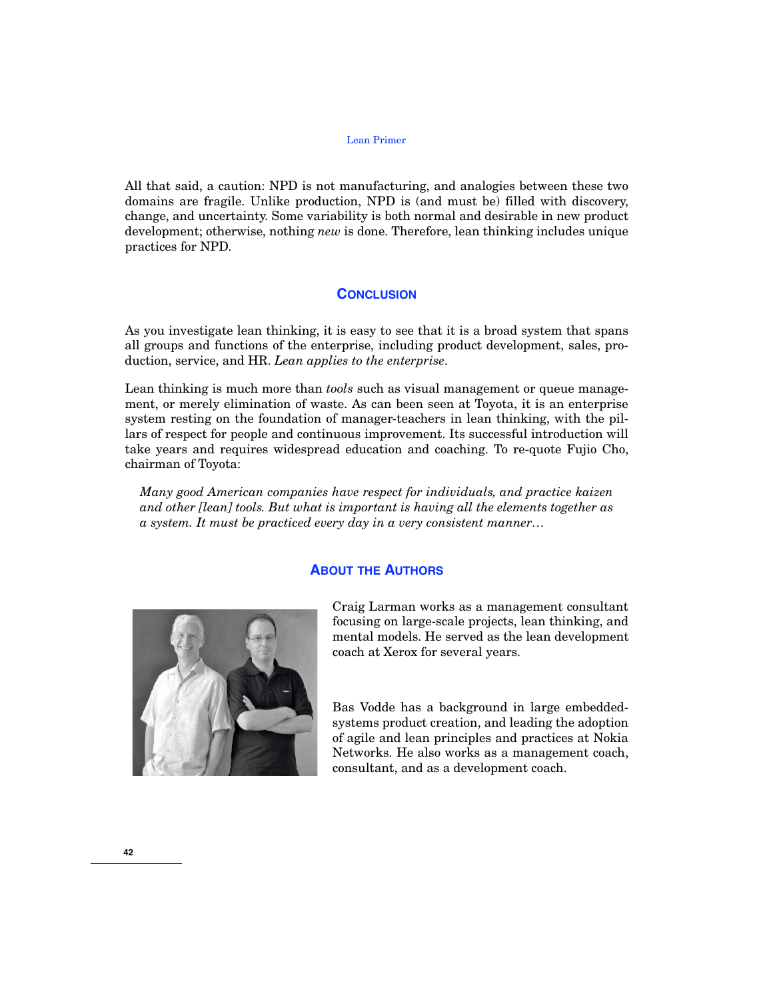All that said, a caution: NPD is not manufacturing, and analogies between these two domains are fragile. Unlike production, NPD is (and must be) filled with discovery, change, and uncertainty. Some variability is both normal and desirable in new product development; otherwise, nothing *new* is done. Therefore, lean thinking includes unique practices for NPD.

# **CONCLUSION**

As you investigate lean thinking, it is easy to see that it is a broad system that spans all groups and functions of the enterprise, including product development, sales, production, service, and HR. *Lean applies to the enterprise*.

Lean thinking is much more than *tools* such as visual management or queue management, or merely elimination of waste. As can been seen at Toyota, it is an enterprise system resting on the foundation of manager-teachers in lean thinking, with the pillars of respect for people and continuous improvement. Its successful introduction will take years and requires widespread education and coaching. To re-quote Fujio Cho, chairman of Toyota:

*Many good American companies have respect for individuals, and practice kaizen and other [lean] tools. But what is important is having all the elements together as a system. It must be practiced every day in a very consistent manner…*

# **ABOUT THE AUTHORS**



Craig Larman works as a management consultant focusing on large-scale projects, lean thinking, and mental models. He served as the lean development coach at Xerox for several years.

Bas Vodde has a background in large embeddedsystems product creation, and leading the adoption of agile and lean principles and practices at Nokia Networks. He also works as a management coach, consultant, and as a development coach.

**42**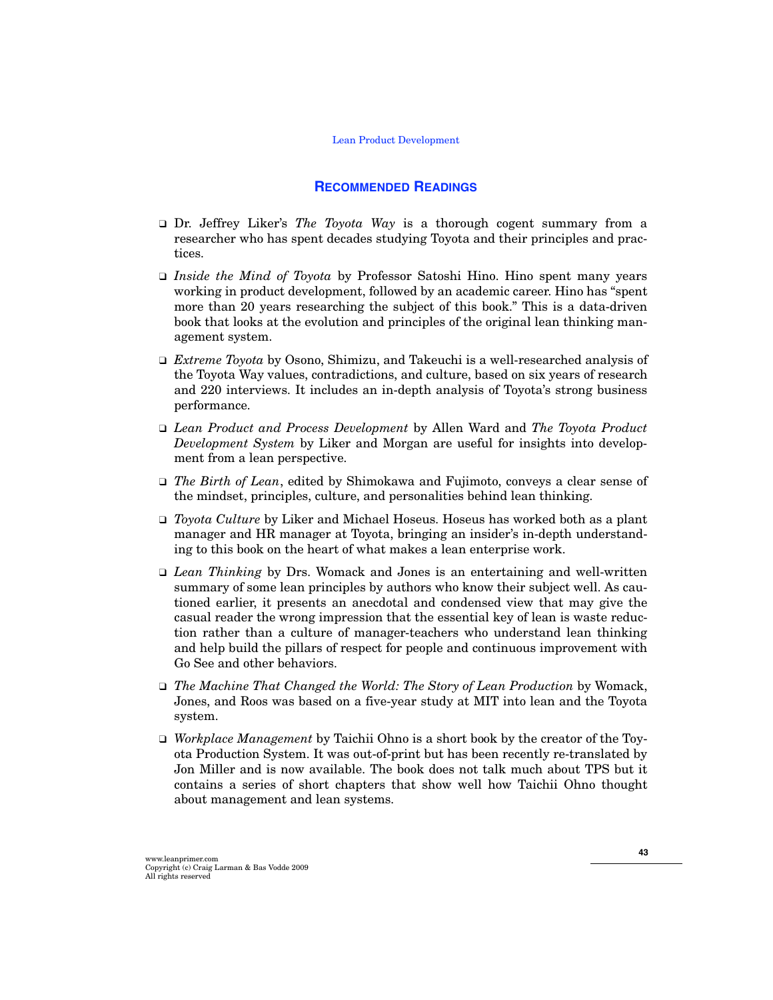### Lean Product Development

# **RECOMMENDED READINGS**

- ❑ Dr. Jeffrey Liker's *The Toyota Way* is a thorough cogent summary from a researcher who has spent decades studying Toyota and their principles and practices.
- ❑ *Inside the Mind of Toyota* by Professor Satoshi Hino. Hino spent many years working in product development, followed by an academic career. Hino has "spent more than 20 years researching the subject of this book." This is a data-driven book that looks at the evolution and principles of the original lean thinking management system.
- ❑ *Extreme Toyota* by Osono, Shimizu, and Takeuchi is a well-researched analysis of the Toyota Way values, contradictions, and culture, based on six years of research and 220 interviews. It includes an in-depth analysis of Toyota's strong business performance.
- ❑ *Lean Product and Process Development* by Allen Ward and *The Toyota Product Development System* by Liker and Morgan are useful for insights into development from a lean perspective.
- ❑ *The Birth of Lean*, edited by Shimokawa and Fujimoto, conveys a clear sense of the mindset, principles, culture, and personalities behind lean thinking.
- ❑ *Toyota Culture* by Liker and Michael Hoseus. Hoseus has worked both as a plant manager and HR manager at Toyota, bringing an insider's in-depth understanding to this book on the heart of what makes a lean enterprise work.
- ❑ *Lean Thinking* by Drs. Womack and Jones is an entertaining and well-written summary of some lean principles by authors who know their subject well. As cautioned earlier, it presents an anecdotal and condensed view that may give the casual reader the wrong impression that the essential key of lean is waste reduction rather than a culture of manager-teachers who understand lean thinking and help build the pillars of respect for people and continuous improvement with Go See and other behaviors.
- ❑ *The Machine That Changed the World: The Story of Lean Production* by Womack, Jones, and Roos was based on a five-year study at MIT into lean and the Toyota system.
- ❑ *Workplace Management* by Taichii Ohno is a short book by the creator of the Toyota Production System. It was out-of-print but has been recently re-translated by Jon Miller and is now available. The book does not talk much about TPS but it contains a series of short chapters that show well how Taichii Ohno thought about management and lean systems.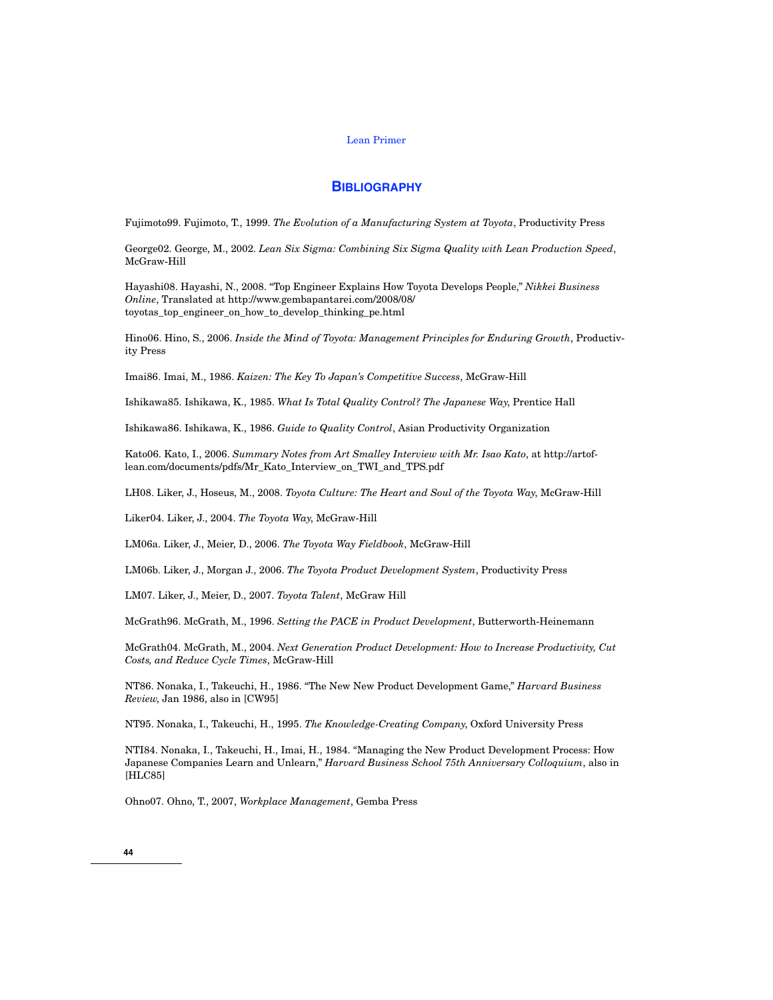# **BIBLIOGRAPHY**

Fujimoto99. Fujimoto, T., 1999. *The Evolution of a Manufacturing System at Toyota*, Productivity Press

George02. George, M., 2002. *Lean Six Sigma: Combining Six Sigma Quality with Lean Production Speed*, McGraw-Hill

Hayashi08. Hayashi, N., 2008. "Top Engineer Explains How Toyota Develops People," *Nikkei Business Online*, Translated at http://www.gembapantarei.com/2008/08/ toyotas\_top\_engineer\_on\_how\_to\_develop\_thinking\_pe.html

Hino06. Hino, S., 2006. *Inside the Mind of Toyota: Management Principles for Enduring Growth*, Productivity Press

Imai86. Imai, M., 1986. *Kaizen: The Key To Japan's Competitive Success*, McGraw-Hill

Ishikawa85. Ishikawa, K., 1985. *What Is Total Quality Control? The Japanese Way*, Prentice Hall

Ishikawa86. Ishikawa, K., 1986. *Guide to Quality Control*, Asian Productivity Organization

Kato06. Kato, I., 2006. *Summary Notes from Art Smalley Interview with Mr. Isao Kato*, at http://artoflean.com/documents/pdfs/Mr\_Kato\_Interview\_on\_TWI\_and\_TPS.pdf

LH08. Liker, J., Hoseus, M., 2008. *Toyota Culture: The Heart and Soul of the Toyota Way*, McGraw-Hill

Liker04. Liker, J., 2004. *The Toyota Way*, McGraw-Hill

LM06a. Liker, J., Meier, D., 2006. *The Toyota Way Fieldbook*, McGraw-Hill

LM06b. Liker, J., Morgan J., 2006. *The Toyota Product Development System*, Productivity Press

LM07. Liker, J., Meier, D., 2007. *Toyota Talent*, McGraw Hill

McGrath96. McGrath, M., 1996. *Setting the PACE in Product Development*, Butterworth-Heinemann

McGrath04. McGrath, M., 2004. *Next Generation Product Development: How to Increase Productivity, Cut Costs, and Reduce Cycle Times*, McGraw-Hill

NT86. Nonaka, I., Takeuchi, H., 1986. "The New New Product Development Game," *Harvard Business Review*, Jan 1986, also in [CW95]

NT95. Nonaka, I., Takeuchi, H., 1995. *The Knowledge-Creating Company*, Oxford University Press

NTI84. Nonaka, I., Takeuchi, H., Imai, H., 1984. "Managing the New Product Development Process: How Japanese Companies Learn and Unlearn," *Harvard Business School 75th Anniversary Colloquium*, also in [HLC85]

Ohno07. Ohno, T., 2007, *Workplace Management*, Gemba Press

**44**